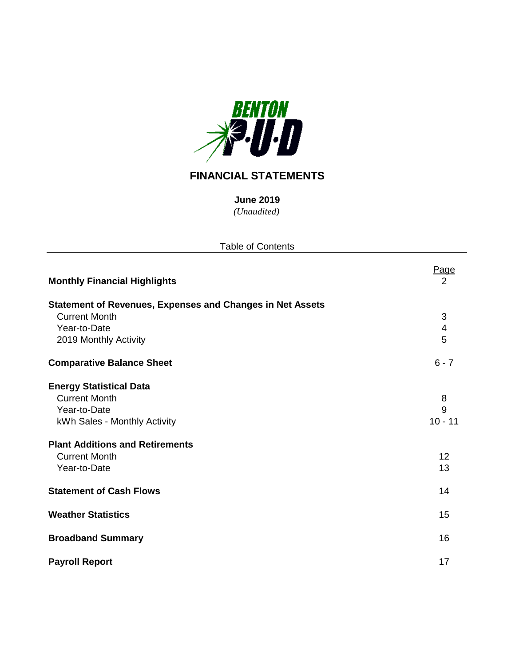

## **FINANCIAL STATEMENTS**

*(Unaudited)* **June 2019**

| <b>Table of Contents</b>                                         |                         |
|------------------------------------------------------------------|-------------------------|
| <b>Monthly Financial Highlights</b>                              | <u>Page</u><br>2        |
| <b>Statement of Revenues, Expenses and Changes in Net Assets</b> |                         |
| <b>Current Month</b>                                             | $\sqrt{3}$              |
| Year-to-Date                                                     | $\overline{\mathbf{4}}$ |
| 2019 Monthly Activity                                            | 5                       |
| <b>Comparative Balance Sheet</b>                                 | $6 - 7$                 |
| <b>Energy Statistical Data</b>                                   |                         |
| <b>Current Month</b>                                             | 8                       |
| Year-to-Date                                                     | 9                       |
| kWh Sales - Monthly Activity                                     | $10 - 11$               |
| <b>Plant Additions and Retirements</b>                           |                         |
| <b>Current Month</b>                                             | 12                      |
| Year-to-Date                                                     | 13                      |
| <b>Statement of Cash Flows</b>                                   | 14                      |
| <b>Weather Statistics</b>                                        | 15                      |
| <b>Broadband Summary</b>                                         | 16                      |
| <b>Payroll Report</b>                                            | 17                      |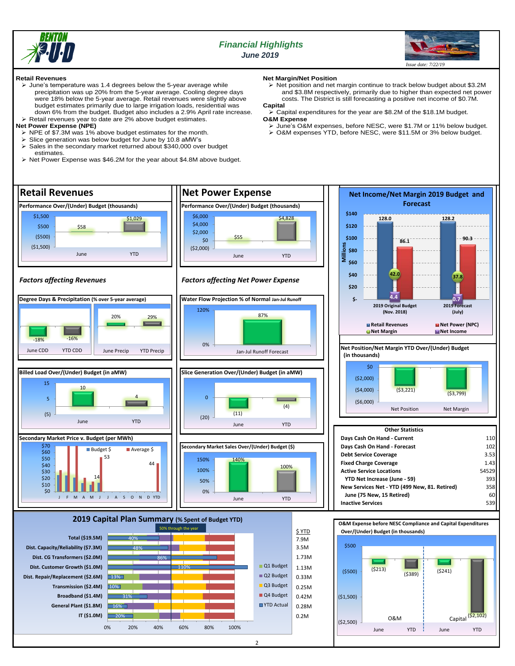

## *Financial Highlights June 2019*



O&M  $\left| \right|$  Capital  $\left( \frac{\sqrt{2},102}{2} \right)$ 

June YTD June YTD

#### **Retail Revenues**

- ➢ June's temperature was 1.4 degrees below the 5-year average while precipitation was up 20% from the 5-year average. Cooling degree days were 18% below the 5-year average. Retail revenues were slightly above budget estimates primarily due to large irrigation loads, residential was down 6% from the budget. Budget also includes a 2.9% April rate increase.
- ➢ Retail revenues year to date are 2% above budget estimates. **Net Power Expense (NPE)**
- ➢ NPE of \$7.3M was 1% above budget estimates for the month.
- Slice generation was below budget for June by 10.8 aMW's
- Sales in the secondary market returned about \$340,000 over budget

20% 16%

**IT (\$1.0M) General Plant (\$1.8M)**

0% 20% 40% 60% 80% 100%

estimates. ➢ Net Power Expense was \$46.2M for the year about \$4.8M above budget.

- **Net Margin/Net Position**
- ➢ Net position and net margin continue to track below budget about \$3.2M and \$3.8M respectively, primarily due to higher than expected net power costs. The District is still forecasting a positive net income of \$0.7M.

## **Capital**

➢ Capital expenditures for the year are \$8.2M of the \$18.1M budget. **O&M Expense**

- ➢ June's O&M expenses, before NESC, were \$1.7M or 11% below budget.
- ➢ O&M expenses YTD, before NESC, were \$11.5M or 3% below budget.



0.2M 0.28M

(\$2,500)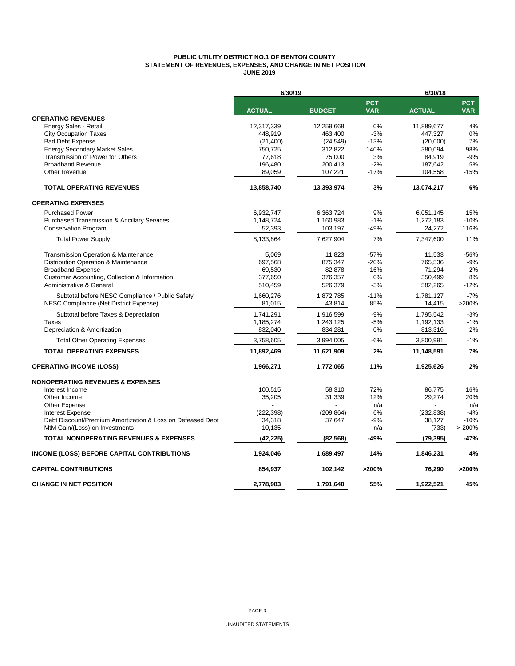## **PUBLIC UTILITY DISTRICT NO.1 OF BENTON COUNTY STATEMENT OF REVENUES, EXPENSES, AND CHANGE IN NET POSITION JUNE 2019**

|                                                            | 6/30/19       |               |                          | 6/30/18       |                          |  |  |
|------------------------------------------------------------|---------------|---------------|--------------------------|---------------|--------------------------|--|--|
|                                                            | <b>ACTUAL</b> | <b>BUDGET</b> | <b>PCT</b><br><b>VAR</b> | <b>ACTUAL</b> | <b>PCT</b><br><b>VAR</b> |  |  |
| <b>OPERATING REVENUES</b>                                  |               |               |                          |               |                          |  |  |
| Energy Sales - Retail                                      | 12,317,339    | 12,259,668    | 0%                       | 11,889,677    | 4%                       |  |  |
| <b>City Occupation Taxes</b>                               | 448,919       | 463.400       | $-3%$                    | 447,327       | 0%                       |  |  |
| <b>Bad Debt Expense</b>                                    | (21, 400)     | (24, 549)     | $-13%$                   | (20,000)      | 7%                       |  |  |
| <b>Energy Secondary Market Sales</b>                       | 750,725       | 312,822       | 140%                     | 380,094       | 98%                      |  |  |
| Transmission of Power for Others                           | 77,618        | 75,000        | 3%                       | 84,919        | $-9%$                    |  |  |
| <b>Broadband Revenue</b>                                   | 196,480       | 200,413       | $-2%$                    | 187,642       | 5%                       |  |  |
| <b>Other Revenue</b>                                       | 89,059        | 107,221       | $-17%$                   | 104,558       | $-15%$                   |  |  |
| <b>TOTAL OPERATING REVENUES</b>                            | 13,858,740    | 13,393,974    | 3%                       | 13,074,217    | 6%                       |  |  |
| <b>OPERATING EXPENSES</b>                                  |               |               |                          |               |                          |  |  |
| <b>Purchased Power</b>                                     | 6,932,747     | 6,363,724     | 9%                       | 6,051,145     | 15%                      |  |  |
| <b>Purchased Transmission &amp; Ancillary Services</b>     | 1,148,724     | 1,160,983     | $-1%$                    | 1,272,183     | $-10%$                   |  |  |
| <b>Conservation Program</b>                                | 52,393        | 103,197       | $-49%$                   | 24,272        | 116%                     |  |  |
| <b>Total Power Supply</b>                                  | 8,133,864     | 7,627,904     | 7%                       | 7,347,600     | 11%                      |  |  |
| <b>Transmission Operation &amp; Maintenance</b>            | 5,069         | 11,823        | $-57%$                   | 11,533        | -56%                     |  |  |
| Distribution Operation & Maintenance                       | 697,568       | 875,347       | $-20%$                   | 765,536       | $-9%$                    |  |  |
| <b>Broadband Expense</b>                                   | 69,530        | 82,878        | $-16%$                   | 71,294        | $-2%$                    |  |  |
| Customer Accounting, Collection & Information              | 377,650       | 376,357       | 0%                       | 350,499       | 8%                       |  |  |
| Administrative & General                                   | 510,459       | 526,379       | $-3%$                    | 582,265       | $-12%$                   |  |  |
| Subtotal before NESC Compliance / Public Safety            | 1,660,276     | 1,872,785     | $-11%$                   | 1,781,127     | $-7%$                    |  |  |
| NESC Compliance (Net District Expense)                     | 81,015        | 43,814        | 85%                      | 14,415        | >200%                    |  |  |
| Subtotal before Taxes & Depreciation                       | 1,741,291     | 1,916,599     | $-9%$                    | 1,795,542     | $-3%$                    |  |  |
| Taxes                                                      | 1,185,274     | 1,243,125     | $-5%$                    | 1,192,133     | $-1%$                    |  |  |
| Depreciation & Amortization                                | 832,040       | 834,281       | 0%                       | 813,316       | 2%                       |  |  |
| <b>Total Other Operating Expenses</b>                      | 3,758,605     | 3,994,005     | $-6%$                    | 3,800,991     | $-1%$                    |  |  |
| <b>TOTAL OPERATING EXPENSES</b>                            | 11,892,469    | 11,621,909    | 2%                       | 11,148,591    | 7%                       |  |  |
| <b>OPERATING INCOME (LOSS)</b>                             | 1,966,271     | 1,772,065     | 11%                      | 1,925,626     | 2%                       |  |  |
| <b>NONOPERATING REVENUES &amp; EXPENSES</b>                |               |               |                          |               |                          |  |  |
| Interest Income                                            | 100,515       | 58,310        | 72%                      | 86,775        | 16%                      |  |  |
| Other Income                                               | 35,205        | 31,339        | 12%                      | 29,274        | 20%                      |  |  |
| Other Expense                                              |               |               | n/a                      |               | n/a                      |  |  |
| <b>Interest Expense</b>                                    | (222, 398)    | (209, 864)    | 6%                       | (232, 838)    | $-4%$                    |  |  |
| Debt Discount/Premium Amortization & Loss on Defeased Debt | 34,318        | 37,647        | $-9%$                    | 38,127        | $-10%$                   |  |  |
| MtM Gain/(Loss) on Investments                             | 10,135        |               | n/a                      | (733)         | $>200\%$                 |  |  |
| <b>TOTAL NONOPERATING REVENUES &amp; EXPENSES</b>          | (42, 225)     | (82, 568)     | -49%                     | (79, 395)     | $-47%$                   |  |  |
| <b>INCOME (LOSS) BEFORE CAPITAL CONTRIBUTIONS</b>          | 1,924,046     | 1,689,497     | 14%                      | 1,846,231     | 4%                       |  |  |
| <b>CAPITAL CONTRIBUTIONS</b>                               | 854,937       | 102,142       | >200%                    | 76,290        | >200%                    |  |  |
| <b>CHANGE IN NET POSITION</b>                              | 2,778,983     | 1,791,640     | 55%                      | 1,922,521     | 45%                      |  |  |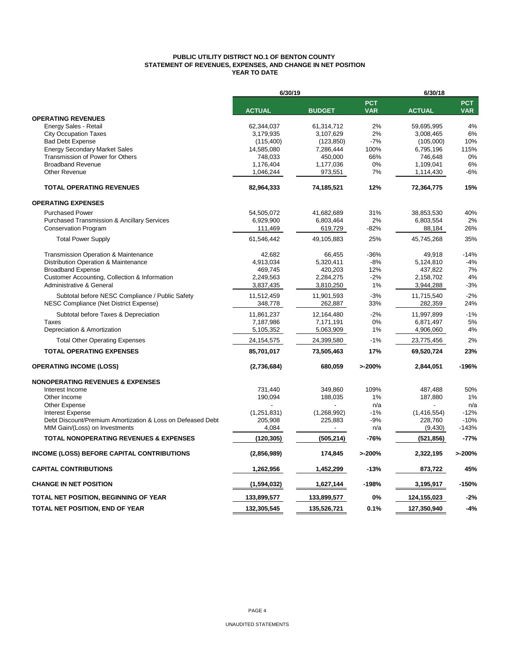### **PUBLIC UTILITY DISTRICT NO.1 OF BENTON COUNTY STATEMENT OF REVENUES, EXPENSES, AND CHANGE IN NET POSITION YEAR TO DATE**

|                                                                                       | 6/30/19                |                        |                          | 6/30/18                  |                          |  |
|---------------------------------------------------------------------------------------|------------------------|------------------------|--------------------------|--------------------------|--------------------------|--|
|                                                                                       | <b>ACTUAL</b>          | <b>BUDGET</b>          | <b>PCT</b><br><b>VAR</b> | <b>ACTUAL</b>            | <b>PCT</b><br><b>VAR</b> |  |
| <b>OPERATING REVENUES</b>                                                             |                        |                        |                          |                          |                          |  |
| Energy Sales - Retail                                                                 | 62,344,037             | 61,314,712             | 2%                       | 59.695.995               | 4%                       |  |
| <b>City Occupation Taxes</b>                                                          | 3,179,935              | 3,107,629              | 2%                       | 3,008,465                | 6%                       |  |
| <b>Bad Debt Expense</b>                                                               | (115, 400)             | (123, 850)             | $-7%$                    | (105,000)                | 10%                      |  |
| <b>Energy Secondary Market Sales</b>                                                  | 14,585,080             | 7,286,444              | 100%                     | 6,795,196                | 115%                     |  |
| Transmission of Power for Others                                                      | 748,033                | 450,000                | 66%                      | 746,648                  | 0%                       |  |
| <b>Broadband Revenue</b>                                                              | 1,176,404              | 1,177,036              | 0%                       | 1,109,041                | 6%                       |  |
| <b>Other Revenue</b>                                                                  | 1,046,244              | 973,551                | 7%                       | 1,114,430                | $-6%$                    |  |
| <b>TOTAL OPERATING REVENUES</b>                                                       | 82,964,333             | 74,185,521             | 12%                      | 72,364,775               | 15%                      |  |
| <b>OPERATING EXPENSES</b>                                                             |                        |                        |                          |                          |                          |  |
| <b>Purchased Power</b>                                                                | 54.505.072             | 41,682,689             | 31%                      | 38,853,530               | 40%                      |  |
| <b>Purchased Transmission &amp; Ancillary Services</b>                                | 6,929,900              | 6,803,464              | 2%                       | 6,803,554                | 2%                       |  |
| <b>Conservation Program</b>                                                           | 111,469                | 619,729                | $-82%$                   | 88,184                   | 26%                      |  |
| <b>Total Power Supply</b>                                                             | 61,546,442             | 49,105,883             | 25%                      | 45,745,268               | 35%                      |  |
| Transmission Operation & Maintenance                                                  | 42,682                 | 66,455                 | $-36%$                   | 49,918                   | $-14%$                   |  |
| Distribution Operation & Maintenance                                                  | 4,913,034              | 5,320,411              | -8%                      | 5,124,810                | $-4%$                    |  |
| <b>Broadband Expense</b>                                                              | 469,745                | 420,203                | 12%                      | 437,822                  | 7%                       |  |
| Customer Accounting, Collection & Information                                         | 2,249,563              | 2,284,275              | $-2%$                    | 2,158,702                | 4%                       |  |
| Administrative & General                                                              | 3,837,435              | 3,810,250              | 1%                       | 3,944,288                | $-3%$                    |  |
| Subtotal before NESC Compliance / Public Safety                                       | 11,512,459             | 11,901,593             | $-3%$                    | 11,715,540               | $-2%$                    |  |
| NESC Compliance (Net District Expense)                                                | 348,778                | 262,887                | 33%                      | 282,359                  | 24%                      |  |
| Subtotal before Taxes & Depreciation                                                  | 11,861,237             | 12,164,480             | $-2%$                    | 11,997,899               | $-1%$                    |  |
| <b>Taxes</b>                                                                          | 7,187,986              | 7,171,191              | 0%                       | 6,871,497                | 5%                       |  |
| Depreciation & Amortization                                                           | 5,105,352              | 5,063,909              | 1%                       | 4,906,060                | 4%                       |  |
| <b>Total Other Operating Expenses</b>                                                 | 24, 154, 575           | 24,399,580             | $-1%$                    | 23,775,456               | 2%                       |  |
| <b>TOTAL OPERATING EXPENSES</b>                                                       | 85,701,017             | 73,505,463             | 17%                      | 69,520,724               | 23%                      |  |
| <b>OPERATING INCOME (LOSS)</b>                                                        | (2,736,684)            | 680,059                | >200%                    | 2,844,051                | $-196%$                  |  |
|                                                                                       |                        |                        |                          |                          |                          |  |
| <b>NONOPERATING REVENUES &amp; EXPENSES</b>                                           |                        |                        |                          |                          |                          |  |
| Interest Income                                                                       | 731,440                | 349,860                | 109%                     | 487,488                  | 50%                      |  |
| Other Income                                                                          | 190,094                | 188,035                | 1%                       | 187,880                  | 1%                       |  |
| Other Expense                                                                         |                        |                        | n/a                      |                          | n/a                      |  |
| <b>Interest Expense</b><br>Debt Discount/Premium Amortization & Loss on Defeased Debt | (1,251,831)<br>205,908 | (1,268,992)<br>225,883 | $-1%$<br>-9%             | (1, 416, 554)<br>228,760 | $-12%$<br>$-10%$         |  |
| MtM Gain/(Loss) on Investments                                                        | 4,084                  |                        | n/a                      | (9,430)                  | $-143%$                  |  |
| <b>TOTAL NONOPERATING REVENUES &amp; EXPENSES</b>                                     | (120, 305)             | (505, 214)             | -76%                     | (521, 856)               | $-77%$                   |  |
|                                                                                       |                        |                        |                          |                          |                          |  |
| INCOME (LOSS) BEFORE CAPITAL CONTRIBUTIONS                                            | (2,856,989)            | 174,845                | >200%                    | 2,322,195                | >200%                    |  |
| <b>CAPITAL CONTRIBUTIONS</b>                                                          | 1,262,956              | 1,452,299              | $-13%$                   | 873,722                  | 45%                      |  |
| <b>CHANGE IN NET POSITION</b>                                                         | (1,594,032)            | 1,627,144              | $-198%$                  | 3,195,917                | $-150%$                  |  |
| TOTAL NET POSITION, BEGINNING OF YEAR                                                 | 133,899,577            | 133,899,577            | 0%                       | 124,155,023              | $-2%$                    |  |
| TOTAL NET POSITION, END OF YEAR                                                       | 132,305,545            | 135,526,721            | 0.1%                     | 127,350,940              | $-4%$                    |  |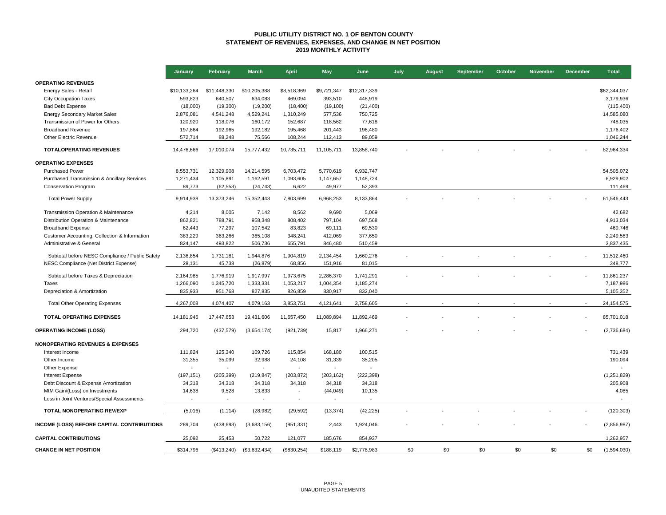#### **PUBLIC UTILITY DISTRICT NO. 1 OF BENTON COUNTY STATEMENT OF REVENUES, EXPENSES, AND CHANGE IN NET POSITION 2019 MONTHLY ACTIVITY**

|                                                 | January        | <b>February</b> | <b>March</b>             | <b>April</b>             | <b>May</b>  | June         | July | <b>August</b> | September | October | <b>November</b> | <b>December</b> | <b>Total</b>   |
|-------------------------------------------------|----------------|-----------------|--------------------------|--------------------------|-------------|--------------|------|---------------|-----------|---------|-----------------|-----------------|----------------|
| <b>OPERATING REVENUES</b>                       |                |                 |                          |                          |             |              |      |               |           |         |                 |                 |                |
| Energy Sales - Retail                           | \$10,133,264   | \$11,448,330    | \$10,205,388             | \$8,518,369              | \$9,721,347 | \$12,317,339 |      |               |           |         |                 |                 | \$62,344,037   |
| <b>City Occupation Taxes</b>                    | 593,823        | 640,507         | 634,083                  | 469,094                  | 393,510     | 448,919      |      |               |           |         |                 |                 | 3,179,936      |
| <b>Bad Debt Expense</b>                         | (18,000)       | (19,300)        | (19,200)                 | (18, 400)                | (19, 100)   | (21, 400)    |      |               |           |         |                 |                 | (115, 400)     |
| <b>Energy Secondary Market Sales</b>            | 2,876,081      | 4,541,248       | 4,529,241                | 1,310,249                | 577,536     | 750,725      |      |               |           |         |                 |                 | 14,585,080     |
| Transmission of Power for Others                | 120,920        | 118,076         | 160,172                  | 152,687                  | 118,562     | 77,618       |      |               |           |         |                 |                 | 748,035        |
| <b>Broadband Revenue</b>                        | 197,864        | 192,965         | 192,182                  | 195,468                  | 201,443     | 196,480      |      |               |           |         |                 |                 | 1,176,402      |
| Other Electric Revenue                          | 572,714        | 88,248          | 75,566                   | 108,244                  | 112,413     | 89,059       |      |               |           |         |                 |                 | 1,046,244      |
| <b>TOTALOPERATING REVENUES</b>                  | 14,476,666     | 17,010,074      | 15,777,432               | 10,735,711               | 11,105,711  | 13,858,740   |      |               |           |         |                 |                 | 82,964,334     |
| <b>OPERATING EXPENSES</b>                       |                |                 |                          |                          |             |              |      |               |           |         |                 |                 |                |
| <b>Purchased Power</b>                          | 8,553,731      | 12,329,908      | 14,214,595               | 6,703,472                | 5,770,619   | 6,932,747    |      |               |           |         |                 |                 | 54,505,072     |
| Purchased Transmission & Ancillary Services     | 1,271,434      | 1,105,891       | 1,162,591                | 1,093,605                | 1,147,657   | 1,148,724    |      |               |           |         |                 |                 | 6,929,902      |
| <b>Conservation Program</b>                     | 89,773         | (62, 553)       | (24, 743)                | 6,622                    | 49,977      | 52,393       |      |               |           |         |                 |                 | 111,469        |
| <b>Total Power Supply</b>                       | 9,914,938      | 13,373,246      | 15,352,443               | 7,803,699                | 6,968,253   | 8,133,864    |      |               |           |         |                 |                 | 61,546,443     |
| Transmission Operation & Maintenance            | 4,214          | 8,005           | 7,142                    | 8,562                    | 9,690       | 5,069        |      |               |           |         |                 |                 | 42,682         |
| Distribution Operation & Maintenance            | 862,821        | 788,791         | 958,348                  | 808,402                  | 797,104     | 697,568      |      |               |           |         |                 |                 | 4,913,034      |
| <b>Broadband Expense</b>                        | 62,443         | 77,297          | 107,542                  | 83,823                   | 69,111      | 69,530       |      |               |           |         |                 |                 | 469,746        |
| Customer Accounting, Collection & Information   | 383,229        | 363,266         | 365,108                  | 348,241                  | 412,069     | 377,650      |      |               |           |         |                 |                 | 2,249,563      |
| Administrative & General                        | 824,147        | 493,822         | 506,736                  | 655,791                  | 846,480     | 510,459      |      |               |           |         |                 |                 | 3,837,435      |
| Subtotal before NESC Compliance / Public Safety | 2,136,854      | 1,731,181       | 1,944,876                | 1,904,819                | 2,134,454   | 1,660,276    |      |               |           |         |                 |                 | 11,512,460     |
| NESC Compliance (Net District Expense)          | 28,131         | 45,738          | (26, 879)                | 68,856                   | 151,916     | 81,015       |      |               |           |         |                 |                 | 348,777        |
| Subtotal before Taxes & Depreciation            | 2,164,985      | 1,776,919       | 1,917,997                | 1,973,675                | 2,286,370   | 1,741,291    |      |               |           |         |                 |                 | 11,861,237     |
| Taxes                                           | 1,266,090      | 1,345,720       | 1,333,331                | 1,053,217                | 1,004,354   | 1,185,274    |      |               |           |         |                 |                 | 7,187,986      |
| Depreciation & Amortization                     | 835,933        | 951,768         | 827,835                  | 826,859                  | 830,917     | 832,040      |      |               |           |         |                 |                 | 5,105,352      |
| <b>Total Other Operating Expenses</b>           | 4,267,008      | 4,074,407       | 4,079,163                | 3,853,751                | 4,121,641   | 3,758,605    |      |               |           |         |                 |                 | 24,154,575     |
| <b>TOTAL OPERATING EXPENSES</b>                 | 14,181,946     | 17,447,653      | 19,431,606               | 11,657,450               | 11,089,894  | 11,892,469   |      |               |           |         |                 |                 | 85,701,018     |
| <b>OPERATING INCOME (LOSS)</b>                  | 294,720        | (437, 579)      | (3,654,174)              | (921, 739)               | 15,817      | 1,966,271    |      |               |           |         |                 |                 | (2,736,684)    |
| <b>NONOPERATING REVENUES &amp; EXPENSES</b>     |                |                 |                          |                          |             |              |      |               |           |         |                 |                 |                |
| Interest Income                                 | 111,824        | 125,340         | 109,726                  | 115,854                  | 168,180     | 100,515      |      |               |           |         |                 |                 | 731,439        |
| Other Income                                    | 31,355         | 35,099          | 32,988                   | 24,108                   | 31,339      | 35,205       |      |               |           |         |                 |                 | 190,094        |
| Other Expense                                   | $\overline{a}$ | $\sim$          | $\overline{\phantom{a}}$ | $\blacksquare$           | $\sim$      |              |      |               |           |         |                 |                 |                |
| <b>Interest Expense</b>                         | (197, 151)     | (205, 399)      | (219, 847)               | (203, 872)               | (203, 162)  | (222, 398)   |      |               |           |         |                 |                 | (1,251,829)    |
| Debt Discount & Expense Amortization            | 34,318         | 34,318          | 34,318                   | 34,318                   | 34,318      | 34,318       |      |               |           |         |                 |                 | 205,908        |
| MtM Gain/(Loss) on Investments                  | 14,638         | 9,528           | 13,833                   | $\overline{\phantom{a}}$ | (44, 049)   | 10,135       |      |               |           |         |                 |                 | 4,085          |
| Loss in Joint Ventures/Special Assessments      | $\overline{a}$ | $\sim$          | $\sim$                   | $\overline{a}$           | $\sim$      | $\sim$       |      |               |           |         |                 |                 | $\overline{a}$ |
| TOTAL NONOPERATING REV/EXP                      | (5,016)        | (1, 114)        | (28, 982)                | (29, 592)                | (13, 374)   | (42, 225)    |      |               |           |         |                 |                 | (120, 303)     |
| INCOME (LOSS) BEFORE CAPITAL CONTRIBUTIONS      | 289,704        | (438, 693)      | (3,683,156)              | (951, 331)               | 2,443       | 1,924,046    |      |               |           |         |                 |                 | (2,856,987)    |
| <b>CAPITAL CONTRIBUTIONS</b>                    | 25,092         | 25,453          | 50,722                   | 121,077                  | 185,676     | 854,937      |      |               |           |         |                 |                 | 1,262,957      |
| <b>CHANGE IN NET POSITION</b>                   | \$314.796      | (S413.240)      | (\$3,632,434)            | (S830.254)               | \$188.119   | \$2,778,983  | \$0  | \$0           | \$0       | \$0     | \$0             | \$0             | (1,594,030)    |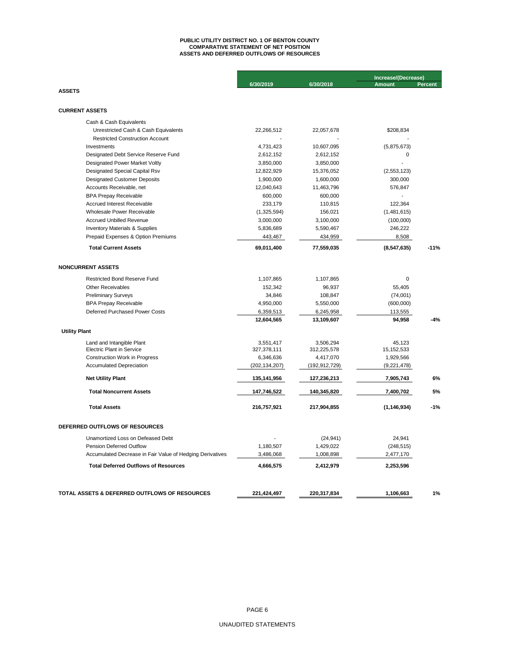## **ASSETS AND DEFERRED OUTFLOWS OF RESOURCES PUBLIC UTILITY DISTRICT NO. 1 OF BENTON COUNTY COMPARATIVE STATEMENT OF NET POSITION**

| 6/30/2019<br>6/30/2018<br><b>Amount</b><br><b>Percent</b><br><b>ASSETS</b><br><b>CURRENT ASSETS</b><br>Cash & Cash Equivalents<br>Unrestricted Cash & Cash Equivalents<br>22,266,512<br>22,057,678<br>\$208,834<br><b>Restricted Construction Account</b><br>Investments<br>4,731,423<br>10,607,095<br>(5,875,673)<br>Designated Debt Service Reserve Fund<br>2,612,152<br>2,612,152<br>0<br>Designated Power Market Voltly<br>3,850,000<br>3,850,000<br>Designated Special Capital Rsv<br>12,822,929<br>15,376,052<br>(2,553,123)<br><b>Designated Customer Deposits</b><br>1,900,000<br>1,600,000<br>300,000<br>11,463,796<br>Accounts Receivable, net<br>12,040,643<br>576,847<br>600,000<br><b>BPA Prepay Receivable</b><br>600,000<br>233,179<br>110,815<br>122,364<br>Accrued Interest Receivable<br>Wholesale Power Receivable<br>(1,325,594)<br>156,021<br>(1,481,615)<br><b>Accrued Unbilled Revenue</b><br>3,000,000<br>3,100,000<br>(100,000)<br><b>Inventory Materials &amp; Supplies</b><br>5,836,689<br>5,590,467<br>246,222<br>Prepaid Expenses & Option Premiums<br>443,467<br>434,959<br>8,508<br><b>Total Current Assets</b><br>69,011,400<br>77,559,035<br>(8,547,635) | Increase/(Decrease) |  |  |
|-------------------------------------------------------------------------------------------------------------------------------------------------------------------------------------------------------------------------------------------------------------------------------------------------------------------------------------------------------------------------------------------------------------------------------------------------------------------------------------------------------------------------------------------------------------------------------------------------------------------------------------------------------------------------------------------------------------------------------------------------------------------------------------------------------------------------------------------------------------------------------------------------------------------------------------------------------------------------------------------------------------------------------------------------------------------------------------------------------------------------------------------------------------------------------------------|---------------------|--|--|
|                                                                                                                                                                                                                                                                                                                                                                                                                                                                                                                                                                                                                                                                                                                                                                                                                                                                                                                                                                                                                                                                                                                                                                                           |                     |  |  |
|                                                                                                                                                                                                                                                                                                                                                                                                                                                                                                                                                                                                                                                                                                                                                                                                                                                                                                                                                                                                                                                                                                                                                                                           |                     |  |  |
|                                                                                                                                                                                                                                                                                                                                                                                                                                                                                                                                                                                                                                                                                                                                                                                                                                                                                                                                                                                                                                                                                                                                                                                           |                     |  |  |
|                                                                                                                                                                                                                                                                                                                                                                                                                                                                                                                                                                                                                                                                                                                                                                                                                                                                                                                                                                                                                                                                                                                                                                                           |                     |  |  |
|                                                                                                                                                                                                                                                                                                                                                                                                                                                                                                                                                                                                                                                                                                                                                                                                                                                                                                                                                                                                                                                                                                                                                                                           |                     |  |  |
|                                                                                                                                                                                                                                                                                                                                                                                                                                                                                                                                                                                                                                                                                                                                                                                                                                                                                                                                                                                                                                                                                                                                                                                           |                     |  |  |
|                                                                                                                                                                                                                                                                                                                                                                                                                                                                                                                                                                                                                                                                                                                                                                                                                                                                                                                                                                                                                                                                                                                                                                                           |                     |  |  |
|                                                                                                                                                                                                                                                                                                                                                                                                                                                                                                                                                                                                                                                                                                                                                                                                                                                                                                                                                                                                                                                                                                                                                                                           |                     |  |  |
|                                                                                                                                                                                                                                                                                                                                                                                                                                                                                                                                                                                                                                                                                                                                                                                                                                                                                                                                                                                                                                                                                                                                                                                           |                     |  |  |
|                                                                                                                                                                                                                                                                                                                                                                                                                                                                                                                                                                                                                                                                                                                                                                                                                                                                                                                                                                                                                                                                                                                                                                                           |                     |  |  |
|                                                                                                                                                                                                                                                                                                                                                                                                                                                                                                                                                                                                                                                                                                                                                                                                                                                                                                                                                                                                                                                                                                                                                                                           |                     |  |  |
|                                                                                                                                                                                                                                                                                                                                                                                                                                                                                                                                                                                                                                                                                                                                                                                                                                                                                                                                                                                                                                                                                                                                                                                           |                     |  |  |
|                                                                                                                                                                                                                                                                                                                                                                                                                                                                                                                                                                                                                                                                                                                                                                                                                                                                                                                                                                                                                                                                                                                                                                                           |                     |  |  |
|                                                                                                                                                                                                                                                                                                                                                                                                                                                                                                                                                                                                                                                                                                                                                                                                                                                                                                                                                                                                                                                                                                                                                                                           |                     |  |  |
|                                                                                                                                                                                                                                                                                                                                                                                                                                                                                                                                                                                                                                                                                                                                                                                                                                                                                                                                                                                                                                                                                                                                                                                           |                     |  |  |
|                                                                                                                                                                                                                                                                                                                                                                                                                                                                                                                                                                                                                                                                                                                                                                                                                                                                                                                                                                                                                                                                                                                                                                                           |                     |  |  |
|                                                                                                                                                                                                                                                                                                                                                                                                                                                                                                                                                                                                                                                                                                                                                                                                                                                                                                                                                                                                                                                                                                                                                                                           |                     |  |  |
|                                                                                                                                                                                                                                                                                                                                                                                                                                                                                                                                                                                                                                                                                                                                                                                                                                                                                                                                                                                                                                                                                                                                                                                           |                     |  |  |
|                                                                                                                                                                                                                                                                                                                                                                                                                                                                                                                                                                                                                                                                                                                                                                                                                                                                                                                                                                                                                                                                                                                                                                                           | $-11%$              |  |  |
| <b>NONCURRENT ASSETS</b>                                                                                                                                                                                                                                                                                                                                                                                                                                                                                                                                                                                                                                                                                                                                                                                                                                                                                                                                                                                                                                                                                                                                                                  |                     |  |  |
| <b>Restricted Bond Reserve Fund</b><br>1,107,865<br>1,107,865<br>$\mathbf 0$                                                                                                                                                                                                                                                                                                                                                                                                                                                                                                                                                                                                                                                                                                                                                                                                                                                                                                                                                                                                                                                                                                              |                     |  |  |
| <b>Other Receivables</b><br>152,342<br>96,937<br>55,405                                                                                                                                                                                                                                                                                                                                                                                                                                                                                                                                                                                                                                                                                                                                                                                                                                                                                                                                                                                                                                                                                                                                   |                     |  |  |
| <b>Preliminary Surveys</b><br>34,846<br>108,847<br>(74,001)                                                                                                                                                                                                                                                                                                                                                                                                                                                                                                                                                                                                                                                                                                                                                                                                                                                                                                                                                                                                                                                                                                                               |                     |  |  |
| 4,950,000<br>5,550,000<br>(600,000)<br><b>BPA Prepay Receivable</b>                                                                                                                                                                                                                                                                                                                                                                                                                                                                                                                                                                                                                                                                                                                                                                                                                                                                                                                                                                                                                                                                                                                       |                     |  |  |
| Deferred Purchased Power Costs<br>6,359,513<br>6,245,958<br>113,555                                                                                                                                                                                                                                                                                                                                                                                                                                                                                                                                                                                                                                                                                                                                                                                                                                                                                                                                                                                                                                                                                                                       |                     |  |  |
| 12,604,565<br>13,109,607<br>94,958                                                                                                                                                                                                                                                                                                                                                                                                                                                                                                                                                                                                                                                                                                                                                                                                                                                                                                                                                                                                                                                                                                                                                        | -4%                 |  |  |
| <b>Utility Plant</b>                                                                                                                                                                                                                                                                                                                                                                                                                                                                                                                                                                                                                                                                                                                                                                                                                                                                                                                                                                                                                                                                                                                                                                      |                     |  |  |
| 3,506,294<br>Land and Intangible Plant<br>3,551,417<br>45,123                                                                                                                                                                                                                                                                                                                                                                                                                                                                                                                                                                                                                                                                                                                                                                                                                                                                                                                                                                                                                                                                                                                             |                     |  |  |
| <b>Electric Plant in Service</b><br>327,378,111<br>312,225,578<br>15, 152, 533                                                                                                                                                                                                                                                                                                                                                                                                                                                                                                                                                                                                                                                                                                                                                                                                                                                                                                                                                                                                                                                                                                            |                     |  |  |
| <b>Construction Work in Progress</b><br>6,346,636<br>4,417,070<br>1,929,566                                                                                                                                                                                                                                                                                                                                                                                                                                                                                                                                                                                                                                                                                                                                                                                                                                                                                                                                                                                                                                                                                                               |                     |  |  |
| Accumulated Depreciation<br>(202, 134, 207)<br>(192, 912, 729)<br>(9,221,478)                                                                                                                                                                                                                                                                                                                                                                                                                                                                                                                                                                                                                                                                                                                                                                                                                                                                                                                                                                                                                                                                                                             |                     |  |  |
| <b>Net Utility Plant</b><br>135,141,956<br>127,236,213<br>7,905,743                                                                                                                                                                                                                                                                                                                                                                                                                                                                                                                                                                                                                                                                                                                                                                                                                                                                                                                                                                                                                                                                                                                       | 6%                  |  |  |
| <b>Total Noncurrent Assets</b><br>147,746,522<br>140,345,820<br>7,400,702                                                                                                                                                                                                                                                                                                                                                                                                                                                                                                                                                                                                                                                                                                                                                                                                                                                                                                                                                                                                                                                                                                                 | 5%                  |  |  |
| <b>Total Assets</b><br>217,904,855<br>216,757,921<br>(1, 146, 934)                                                                                                                                                                                                                                                                                                                                                                                                                                                                                                                                                                                                                                                                                                                                                                                                                                                                                                                                                                                                                                                                                                                        | $-1%$               |  |  |
| DEFERRED OUTFLOWS OF RESOURCES                                                                                                                                                                                                                                                                                                                                                                                                                                                                                                                                                                                                                                                                                                                                                                                                                                                                                                                                                                                                                                                                                                                                                            |                     |  |  |
| Unamortized Loss on Defeased Debt<br>(24, 941)<br>24,941                                                                                                                                                                                                                                                                                                                                                                                                                                                                                                                                                                                                                                                                                                                                                                                                                                                                                                                                                                                                                                                                                                                                  |                     |  |  |
| Pension Deferred Outflow<br>1,180,507<br>1,429,022<br>(248, 515)                                                                                                                                                                                                                                                                                                                                                                                                                                                                                                                                                                                                                                                                                                                                                                                                                                                                                                                                                                                                                                                                                                                          |                     |  |  |
| Accumulated Decrease in Fair Value of Hedging Derivatives<br>3,486,068<br>1,008,898<br>2,477,170                                                                                                                                                                                                                                                                                                                                                                                                                                                                                                                                                                                                                                                                                                                                                                                                                                                                                                                                                                                                                                                                                          |                     |  |  |
| <b>Total Deferred Outflows of Resources</b><br>4,666,575<br>2,412,979<br>2,253,596                                                                                                                                                                                                                                                                                                                                                                                                                                                                                                                                                                                                                                                                                                                                                                                                                                                                                                                                                                                                                                                                                                        |                     |  |  |
|                                                                                                                                                                                                                                                                                                                                                                                                                                                                                                                                                                                                                                                                                                                                                                                                                                                                                                                                                                                                                                                                                                                                                                                           |                     |  |  |
| TOTAL ASSETS & DEFERRED OUTFLOWS OF RESOURCES<br>221,424,497<br>220,317,834<br>1,106,663                                                                                                                                                                                                                                                                                                                                                                                                                                                                                                                                                                                                                                                                                                                                                                                                                                                                                                                                                                                                                                                                                                  | 1%                  |  |  |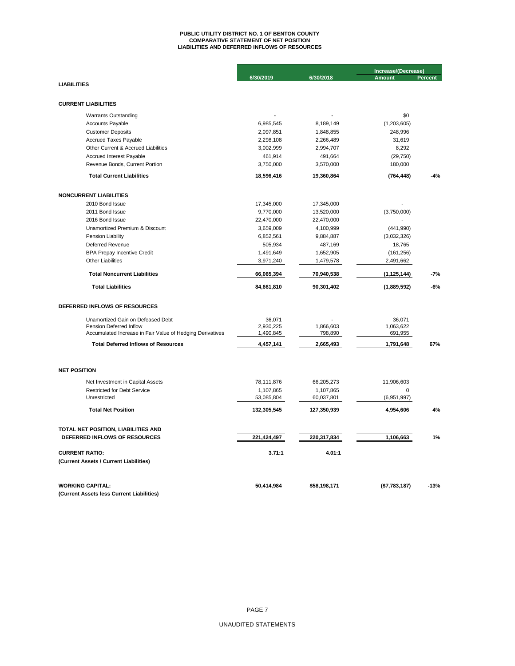# **PUBLIC UTILITY DISTRICT NO. 1 OF BENTON COUNTY COMPARATIVE STATEMENT OF NET POSITION LIABILITIES AND DEFERRED INFLOWS OF RESOURCES**

|                                                           |                         |                         | Increase/(Decrease) |                |  |
|-----------------------------------------------------------|-------------------------|-------------------------|---------------------|----------------|--|
|                                                           | 6/30/2019               | 6/30/2018               | <b>Amount</b>       | <b>Percent</b> |  |
| <b>LIABILITIES</b>                                        |                         |                         |                     |                |  |
|                                                           |                         |                         |                     |                |  |
| <b>CURRENT LIABILITIES</b>                                |                         |                         |                     |                |  |
| <b>Warrants Outstanding</b>                               |                         |                         | \$0                 |                |  |
| Accounts Payable                                          | 6,985,545               | 8,189,149               | (1,203,605)         |                |  |
| <b>Customer Deposits</b>                                  | 2,097,851               | 1,848,855               | 248,996             |                |  |
| <b>Accrued Taxes Payable</b>                              | 2,298,108               | 2,266,489               | 31,619              |                |  |
| Other Current & Accrued Liabilities                       | 3,002,999               | 2,994,707               | 8,292               |                |  |
| Accrued Interest Payable                                  | 461,914                 | 491,664                 | (29, 750)           |                |  |
| Revenue Bonds, Current Portion                            | 3,750,000               | 3,570,000               | 180,000             |                |  |
| <b>Total Current Liabilities</b>                          | 18,596,416              | 19,360,864              | (764, 448)          | $-4%$          |  |
| <b>NONCURRENT LIABILITIES</b>                             |                         |                         |                     |                |  |
| 2010 Bond Issue                                           | 17,345,000              | 17,345,000              |                     |                |  |
| 2011 Bond Issue                                           | 9,770,000               | 13,520,000              | (3,750,000)         |                |  |
| 2016 Bond Issue                                           | 22,470,000              | 22,470,000              |                     |                |  |
| Unamortized Premium & Discount                            | 3,659,009               | 4,100,999               | (441, 990)          |                |  |
| Pension Liability                                         | 6,852,561               | 9,884,887               | (3,032,326)         |                |  |
| Deferred Revenue                                          | 505,934                 | 487,169                 | 18,765              |                |  |
| <b>BPA Prepay Incentive Credit</b>                        | 1,491,649               | 1,652,905               | (161, 256)          |                |  |
| <b>Other Liabilities</b>                                  | 3,971,240               | 1,479,578               | 2,491,662           |                |  |
| <b>Total Noncurrent Liabilities</b>                       | 66,065,394              | 70,940,538              | (1, 125, 144)       | -7%            |  |
| <b>Total Liabilities</b>                                  | 84,661,810              | 90,301,402              | (1,889,592)         | $-6%$          |  |
| DEFERRED INFLOWS OF RESOURCES                             |                         |                         |                     |                |  |
| Unamortized Gain on Defeased Debt                         | 36,071                  |                         | 36,071              |                |  |
| Pension Deferred Inflow                                   | 2,930,225               | 1,866,603               | 1,063,622           |                |  |
| Accumulated Increase in Fair Value of Hedging Derivatives | 1,490,845               | 798,890                 | 691,955             |                |  |
| <b>Total Deferred Inflows of Resources</b>                | 4,457,141               | 2,665,493               | 1,791,648           | 67%            |  |
|                                                           |                         |                         |                     |                |  |
| <b>NET POSITION</b><br>Net Investment in Capital Assets   |                         |                         | 11,906,603          |                |  |
| <b>Restricted for Debt Service</b>                        | 78,111,876<br>1,107,865 | 66,205,273<br>1,107,865 | $\mathbf 0$         |                |  |
| Unrestricted                                              | 53,085,804              | 60,037,801              | (6,951,997)         |                |  |
| <b>Total Net Position</b>                                 | 132,305,545             | 127,350,939             | 4,954,606           | 4%             |  |
|                                                           |                         |                         |                     |                |  |
| TOTAL NET POSITION, LIABILITIES AND                       |                         |                         |                     |                |  |
| DEFERRED INFLOWS OF RESOURCES                             | 221,424,497             | 220,317,834             | 1,106,663           | 1%             |  |
| <b>CURRENT RATIO:</b>                                     | 3.71:1                  | 4.01:1                  |                     |                |  |
| (Current Assets / Current Liabilities)                    |                         |                         |                     |                |  |
| <b>WORKING CAPITAL:</b>                                   | 50,414,984              | \$58,198,171            | (\$7,783,187)       | $-13%$         |  |
| (Current Assets less Current Liabilities)                 |                         |                         |                     |                |  |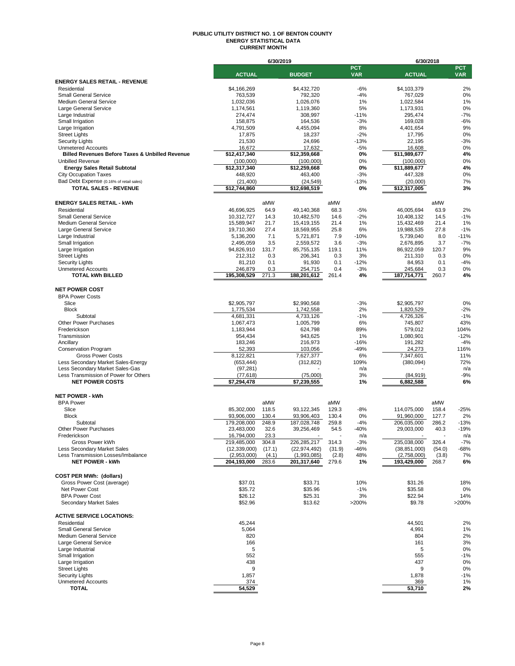#### **PUBLIC UTILITY DISTRICT NO. 1 OF BENTON COUNTY ENERGY STATISTICAL DATA CURRENT MONTH**

|                                                                   |                               | 6/30/2019      |                               |                 |                          | 6/30/2018                     |                |                          |
|-------------------------------------------------------------------|-------------------------------|----------------|-------------------------------|-----------------|--------------------------|-------------------------------|----------------|--------------------------|
|                                                                   | <b>ACTUAL</b>                 |                | <b>BUDGET</b>                 |                 | <b>PCT</b><br><b>VAR</b> | <b>ACTUAL</b>                 |                | <b>PCT</b><br><b>VAR</b> |
| <b>ENERGY SALES RETAIL - REVENUE</b>                              |                               |                |                               |                 |                          |                               |                |                          |
| Residential                                                       | \$4.166.269                   |                | \$4,432,720                   |                 | $-6%$                    | \$4,103,379                   |                | 2%                       |
| <b>Small General Service</b>                                      | 763,539                       |                | 792,320                       |                 | $-4%$                    | 767,029                       |                | 0%                       |
| <b>Medium General Service</b>                                     | 1,032,036                     |                | 1,026,076                     |                 | 1%                       | 1,022,584                     |                | 1%                       |
| Large General Service<br>Large Industrial                         | 1,174,561<br>274,474          |                | 1,119,360<br>308,997          |                 | 5%<br>$-11%$             | 1,173,931<br>295,474          |                | 0%<br>$-7%$              |
| Small Irrigation                                                  | 158,875                       |                | 164,536                       |                 | $-3%$                    | 169,028                       |                | $-6%$                    |
| Large Irrigation                                                  | 4,791,509                     |                | 4,455,094                     |                 | 8%                       | 4,401,654                     |                | 9%                       |
| <b>Street Lights</b>                                              | 17,875                        |                | 18,237                        |                 | $-2%$                    | 17,795                        |                | 0%                       |
| <b>Security Lights</b>                                            | 21,530                        |                | 24,696                        |                 | $-13%$                   | 22,195                        |                | $-3%$                    |
| <b>Unmetered Accounts</b>                                         | 16.672                        |                | 17.632                        |                 | $-5%$                    | 16.608                        |                | 0%                       |
| <b>Billed Revenues Before Taxes &amp; Unbilled Revenue</b>        | \$12,417,340                  |                | \$12,359,668                  |                 | 0%                       | \$11,989,677                  |                | 4%                       |
| <b>Unbilled Revenue</b>                                           | (100,000)                     |                | (100,000)                     |                 | 0%                       | (100,000)                     |                | 0%                       |
| <b>Energy Sales Retail Subtotal</b>                               | \$12,317,340                  |                | \$12,259,668                  |                 | 0%                       | \$11,889,677                  |                | 4%                       |
| <b>City Occupation Taxes</b>                                      | 448,920                       |                | 463,400                       |                 | $-3%$                    | 447,328                       |                | 0%                       |
| Bad Debt Expense (0.16% of retail sales)                          | (21, 400)                     |                | (24, 549)                     |                 | $-13%$                   | (20,000)                      |                | 7%                       |
| <b>TOTAL SALES - REVENUE</b>                                      | \$12,744,860                  |                | \$12,698,519                  |                 | 0%                       | \$12,317,005                  |                | 3%                       |
| <b>ENERGY SALES RETAIL - kWh</b>                                  |                               | aMW            |                               | aMW             |                          |                               | aMW            |                          |
| Residential                                                       | 46,696,925                    | 64.9           | 49,140,368                    | 68.3            | $-5%$                    | 46,005,694                    | 63.9           | 2%                       |
| <b>Small General Service</b>                                      | 10,312,727                    | 14.3           | 10,482,570                    | 14.6            | $-2%$                    | 10,408,132                    | 14.5           | $-1%$                    |
| <b>Medium General Service</b>                                     | 15,589,947                    | 21.7           | 15,419,155                    | 21.4            | 1%                       | 15,432,469                    | 21.4           | 1%                       |
| Large General Service                                             | 19,710,360                    | 27.4           | 18,569,955                    | 25.8            | 6%                       | 19,988,535                    | 27.8           | $-1%$                    |
| Large Industrial                                                  | 5,136,200                     | 7.1            | 5,721,871                     | 7.9             | $-10%$                   | 5,739,040                     | 8.0            | $-11%$                   |
| Small Irrigation                                                  | 2,495,059                     | 3.5            | 2,559,572                     | 3.6             | $-3%$                    | 2,676,895                     | 3.7            | $-7%$                    |
| Large Irrigation                                                  | 94,826,910                    | 131.7          | 85,755,135                    | 119.1           | 11%                      | 86,922,059                    | 120.7          | 9%                       |
| <b>Street Lights</b>                                              | 212,312                       | 0.3            | 206,341                       | 0.3             | 3%                       | 211,310                       | 0.3            | 0%                       |
| <b>Security Lights</b><br><b>Unmetered Accounts</b>               | 81,210                        | 0.1            | 91,930                        | 0.1             | $-12%$                   | 84,953                        | 0.1            | $-4%$                    |
| <b>TOTAL kWh BILLED</b>                                           | 246,879<br>195,308,529        | 0.3<br>271.3   | 254,715<br>188,201,612        | 0.4<br>261.4    | $-3%$<br>4%              | 245,684<br>187,714,771        | 0.3<br>260.7   | 0%<br>4%                 |
|                                                                   |                               |                |                               |                 |                          |                               |                |                          |
| <b>NET POWER COST</b>                                             |                               |                |                               |                 |                          |                               |                |                          |
| <b>BPA Power Costs</b>                                            |                               |                |                               |                 |                          |                               |                |                          |
| Slice                                                             | \$2,905,797                   |                | \$2.990.568                   |                 | $-3%$                    | \$2,905,797                   |                | 0%                       |
| <b>Block</b>                                                      | 1,775,534                     |                | 1,742,558                     |                 | 2%                       | 1,820,529                     |                | $-2%$                    |
| Subtotal                                                          | 4,681,331                     |                | 4,733,126                     |                 | $-1%$                    | 4,726,326                     |                | $-1%$<br>43%             |
| Other Power Purchases<br>Frederickson                             | 1,067,473<br>1,183,944        |                | 1,005,799<br>624,798          |                 | 6%<br>89%                | 745,807<br>579,012            |                | 104%                     |
| Transmission                                                      | 954,434                       |                | 943,625                       |                 | 1%                       | 1,080,901                     |                | $-12%$                   |
| Ancillary                                                         | 183,246                       |                | 216,973                       |                 | $-16%$                   | 191,282                       |                | $-4%$                    |
| <b>Conservation Program</b>                                       | 52,393                        |                | 103,056                       |                 | $-49%$                   | 24,273                        |                | 116%                     |
| <b>Gross Power Costs</b>                                          | 8,122,821                     |                | 7,627,377                     |                 | 6%                       | 7,347,601                     |                | 11%                      |
| Less Secondary Market Sales-Energy                                | (653, 444)                    |                | (312, 822)                    |                 | 109%                     | (380,094)                     |                | 72%                      |
| Less Secondary Market Sales-Gas                                   | (97, 281)                     |                |                               |                 | n/a                      |                               |                | n/a                      |
| Less Transmission of Power for Others                             | (77, 618)                     |                | (75,000)                      |                 | 3%                       | (84, 919)                     |                | $-9%$                    |
| <b>NET POWER COSTS</b>                                            | \$7,294,478                   |                | \$7,239,555                   |                 | 1%                       | 6,882,588                     |                | 6%                       |
| <b>NET POWER - kWh</b>                                            |                               |                |                               |                 |                          |                               |                |                          |
| <b>BPA Power</b>                                                  |                               | aMW            |                               | aMW             |                          |                               | aMW            |                          |
| Slice                                                             | 85,302,000                    | 118.5          | 93,122,345                    | 129.3           | $-8%$                    | 114,075,000                   | 158.4          | $-25%$                   |
| <b>Block</b>                                                      | 93,906,000                    | 130.4          | 93,906,403                    | 130.4           | 0%                       | 91,960,000                    | 127.7          | 2%                       |
| Subtotal                                                          | 179,208,000                   | 248.9          | 187,028,748                   | 259.8           | $-4%$                    | 206,035,000                   | 286.2          | $-13%$                   |
| Other Power Purchases                                             | 23,483,000                    | 32.6           | 39,256,469                    | 54.5            | $-40%$                   | 29,003,000                    | 40.3           | $-19%$                   |
| Frederickson                                                      | 16.794.000                    | 23.3           |                               |                 | n/a                      |                               |                | n/a                      |
| Gross Power kWh                                                   | 219,485,000                   | 304.8          | 226,285,217                   | 314.3           | $-3%$                    | 235,038,000                   | 326.4          | $-7%$                    |
| Less Secondary Market Sales<br>Less Transmission Losses/Imbalance | (12, 339, 000)<br>(2,953,000) | (17.1)         | (22, 974, 492)<br>(1,993,085) | (31.9)<br>(2.8) | -46%<br>48%              | (38, 851, 000)<br>(2,758,000) | (54.0)         | -68%<br>7%               |
| <b>NET POWER - kWh</b>                                            | 204,193,000                   | (4.1)<br>283.6 | 201,317,640                   | 279.6           | 1%                       | 193,429,000                   | (3.8)<br>268.7 | 6%                       |
|                                                                   |                               |                |                               |                 |                          |                               |                |                          |
| <b>COST PER MWh: (dollars)</b>                                    |                               |                |                               |                 |                          |                               |                |                          |
| Gross Power Cost (average)                                        | \$37.01                       |                | \$33.71                       |                 | 10%                      | \$31.26                       |                | 18%                      |
| Net Power Cost                                                    | \$35.72                       |                | \$35.96                       |                 | $-1%$                    | \$35.58                       |                | 0%                       |
| <b>BPA Power Cost</b><br>Secondary Market Sales                   | \$26.12<br>\$52.96            |                | \$25.31<br>\$13.62            |                 | 3%<br>>200%              | \$22.94<br>\$9.78             |                | 14%<br>>200%             |
|                                                                   |                               |                |                               |                 |                          |                               |                |                          |
| <b>ACTIVE SERVICE LOCATIONS:</b>                                  |                               |                |                               |                 |                          |                               |                |                          |
| Residential                                                       | 45,244                        |                |                               |                 |                          | 44,501                        |                | 2%                       |
| <b>Small General Service</b>                                      | 5,064                         |                |                               |                 |                          | 4,991                         |                | 1%                       |
| <b>Medium General Service</b>                                     | 820                           |                |                               |                 |                          | 804                           |                | 2%                       |
| Large General Service                                             | 166                           |                |                               |                 |                          | 161                           |                | 3%                       |
| Large Industrial                                                  | 5                             |                |                               |                 |                          | 5                             |                | 0%                       |
| Small Irrigation<br>Large Irrigation                              | 552<br>438                    |                |                               |                 |                          | 555<br>437                    |                | $-1%$<br>0%              |
| <b>Street Lights</b>                                              | 9                             |                |                               |                 |                          | 9                             |                | 0%                       |
| <b>Security Lights</b>                                            | 1,857                         |                |                               |                 |                          | 1,878                         |                | $-1%$                    |
| <b>Unmetered Accounts</b>                                         | 374                           |                |                               |                 |                          | 369                           |                | 1%                       |
| <b>TOTAL</b>                                                      | 54,529                        |                |                               |                 |                          | 53,710                        |                | 2%                       |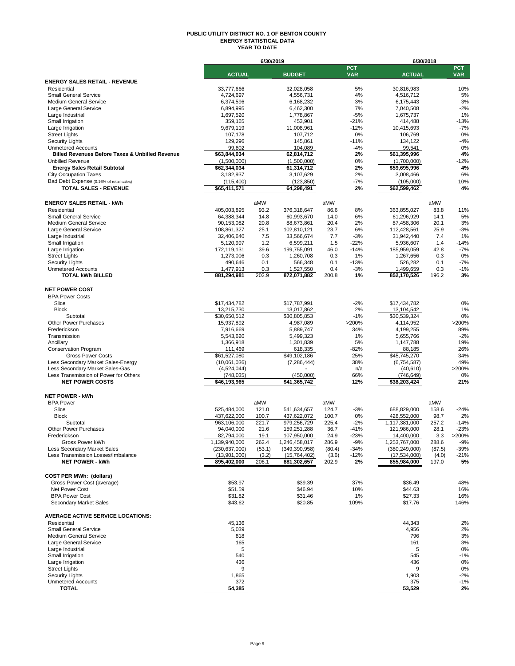#### **PUBLIC UTILITY DISTRICT NO. 1 OF BENTON COUNTY ENERGY STATISTICAL DATA YEAR TO DATE**

|                                                                          |                                 | 6/30/2019       |                                 |                |                          |                                 | 6/30/2018      |                          |
|--------------------------------------------------------------------------|---------------------------------|-----------------|---------------------------------|----------------|--------------------------|---------------------------------|----------------|--------------------------|
|                                                                          | <b>ACTUAL</b>                   |                 | <b>BUDGET</b>                   |                | <b>PCT</b><br><b>VAR</b> | <b>ACTUAL</b>                   |                | <b>PCT</b><br><b>VAR</b> |
| <b>ENERGY SALES RETAIL - REVENUE</b>                                     |                                 |                 |                                 |                |                          |                                 |                |                          |
| Residential                                                              | 33,777,666                      |                 | 32,028,058                      |                | 5%                       | 30,816,983                      |                | 10%                      |
| <b>Small General Service</b><br>Medium General Service                   | 4,724,697                       |                 | 4,556,731                       |                | 4%<br>3%                 | 4,516,712                       |                | 5%<br>3%                 |
| Large General Service                                                    | 6,374,596<br>6,894,995          |                 | 6,168,232<br>6,462,300          |                | 7%                       | 6,175,443<br>7,040,508          |                | $-2%$                    |
| Large Industrial                                                         | 1.697.520                       |                 | 1,778,867                       |                | $-5%$                    | 1,675,737                       |                | 1%                       |
| Small Irrigation                                                         | 359,165                         |                 | 453,901                         |                | $-21%$                   | 414,488                         |                | $-13%$                   |
| Large Irrigation                                                         | 9,679,119                       |                 | 11,008,961                      |                | $-12%$                   | 10,415,693                      |                | $-7%$                    |
| <b>Street Lights</b>                                                     | 107,178                         |                 | 107,712                         |                | 0%                       | 106,769                         |                | 0%                       |
| <b>Security Lights</b>                                                   | 129,296                         |                 | 145,861                         |                | $-11%$                   | 134,122                         |                | $-4%$                    |
| <b>Unmetered Accounts</b>                                                | 99,802                          |                 | 104,089                         |                | $-4%$                    | 99,541                          |                | 0%                       |
| <b>Billed Revenues Before Taxes &amp; Unbilled Revenue</b>               | \$63,844,034                    |                 | 62,814,712                      |                | 2%                       | \$61,395,996                    |                | 4%                       |
| <b>Unbilled Revenue</b>                                                  | (1,500,000)                     |                 | (1,500,000)                     |                | 0%                       | (1,700,000)                     |                | $-12%$                   |
| <b>Energy Sales Retail Subtotal</b>                                      | \$62,344,034                    |                 | 61,314,712<br>3,107,629         |                | 2%<br>2%                 | \$59,695,996<br>3,008,466       |                | 4%<br>6%                 |
| <b>City Occupation Taxes</b><br>Bad Debt Expense (0.16% of retail sales) | 3,182,937<br>(115, 400)         |                 | (123, 850)                      |                | $-7%$                    | (105,000)                       |                | 10%                      |
| <b>TOTAL SALES - REVENUE</b>                                             | \$65,411,571                    |                 | 64,298,491                      |                | 2%                       | \$62,599,462                    |                | 4%                       |
|                                                                          |                                 |                 |                                 |                |                          |                                 |                |                          |
| <b>ENERGY SALES RETAIL - kWh</b><br>Residential                          |                                 | aMW<br>93.2     |                                 | aMW<br>86.6    | 8%                       |                                 | aMW<br>83.8    |                          |
| <b>Small General Service</b>                                             | 405,003,895<br>64,388,344       | 14.8            | 376,318,647<br>60,993,670       | 14.0           | 6%                       | 363,855,027<br>61,296,929       | 14.1           | 11%<br>5%                |
| <b>Medium General Service</b>                                            | 90,153,082                      | 20.8            | 88,673,861                      | 20.4           | 2%                       | 87,458,306                      | 20.1           | 3%                       |
| Large General Service                                                    | 108,861,327                     | 25.1            | 102,810,121                     | 23.7           | 6%                       | 112,428,561                     | 25.9           | $-3%$                    |
| Large Industrial                                                         | 32,406,640                      | 7.5             | 33,566,674                      | 7.7            | $-3%$                    | 31,942,440                      | 7.4            | 1%                       |
| Small Irrigation                                                         | 5,120,997                       | 1.2             | 6,599,211                       | 1.5            | $-22%$                   | 5,936,607                       | 1.4            | $-14%$                   |
| Large Irrigation                                                         | 172,119,131                     | 39.6            | 199,755,091                     | 46.0           | $-14%$                   | 185,959,059                     | 42.8           | $-7%$                    |
| <b>Street Lights</b>                                                     | 1,273,006                       | 0.3             | 1,260,708                       | 0.3            | 1%                       | 1,267,656                       | 0.3            | 0%                       |
| <b>Security Lights</b>                                                   | 490,646                         | 0.1             | 566,348                         | 0.1            | $-13%$                   | 526,282                         | 0.1            | $-7%$                    |
| <b>Unmetered Accounts</b><br><b>TOTAL kWh BILLED</b>                     | 1,477,913<br>881,294,981        | 0.3<br>202.9    | 1,527,550<br>872,071,882        | 0.4<br>200.8   | $-3%$<br>1%              | 1,499,659<br>852,170,526        | 0.3<br>196.2   | $-1%$<br>3%              |
|                                                                          |                                 |                 |                                 |                |                          |                                 |                |                          |
| <b>NET POWER COST</b>                                                    |                                 |                 |                                 |                |                          |                                 |                |                          |
| <b>BPA Power Costs</b><br>Slice                                          | \$17,434,782                    |                 | \$17,787,991                    |                | $-2%$                    | \$17,434,782                    |                | 0%                       |
| <b>Block</b>                                                             | 13,215,730                      |                 | 13,017,862                      |                | 2%                       | 13,104,542                      |                | 1%                       |
| Subtotal                                                                 | \$30,650,512                    |                 | \$30,805,853                    |                | $-1%$                    | \$30,539,324                    |                | 0%                       |
| <b>Other Power Purchases</b>                                             | 15,937,892                      |                 | 4,987,089                       |                | >200%                    | 4,114,952                       |                | >200%                    |
| Frederickson                                                             | 7,916,669                       |                 | 5,889,747                       |                | 34%                      | 4,199,255                       |                | 89%                      |
| Transmission                                                             | 5,543,620                       |                 | 5,499,323                       |                | 1%                       | 5,655,766                       |                | $-2%$                    |
| Ancillary                                                                | 1,366,918                       |                 | 1,301,839                       |                | 5%                       | 1,147,788                       |                | 19%                      |
| <b>Conservation Program</b>                                              | 111,469                         |                 | 618,335                         |                | $-82%$                   | 88,185                          |                | 26%                      |
| <b>Gross Power Costs</b>                                                 | \$61,527,080                    |                 | \$49,102,186                    |                | 25%                      | \$45,745,270                    |                | 34%                      |
| Less Secondary Market Sales-Energy                                       | (10,061,036)                    |                 | (7, 286, 444)                   |                | 38%                      | (6,754,587)                     |                | 49%                      |
| Less Secondary Market Sales-Gas<br>Less Transmission of Power for Others | (4,524,044)<br>(748, 035)       |                 | (450,000)                       |                | n/a<br>66%               | (40, 610)<br>(746, 649)         |                | >200%<br>0%              |
| <b>NET POWER COSTS</b>                                                   | \$46,193,965                    |                 | \$41,365,742                    |                | 12%                      | \$38,203,424                    |                | 21%                      |
| <b>NET POWER - kWh</b>                                                   |                                 |                 |                                 |                |                          |                                 |                |                          |
| <b>BPA Power</b>                                                         |                                 | aMW             |                                 | aMW            |                          |                                 | aMW            |                          |
| Slice                                                                    | 525,484,000                     | 121.0           | 541,634,657                     | 124.7          | $-3%$                    | 688,829,000                     | 158.6          | $-24%$                   |
| <b>Block</b>                                                             | 437,622,000                     | 100.7           | 437,622,072                     | 100.7          | 0%                       | 428,552,000                     | 98.7           | 2%                       |
| Subtotal                                                                 | 963,106,000                     | 221.7           | 979,256,729                     | 225.4          | $-2%$                    | 1,117,381,000                   | 257.2          | $-14%$                   |
| <b>Other Power Purchases</b>                                             | 94.040.000                      | 21.6            | 159,251,288                     | 36.7           | $-41%$                   | 121,986,000                     | 28.1           | $-23%$                   |
| Frederickson                                                             | 82.794.000                      | 19.1            | 107.950.000                     | 24.9           | $-23%$                   | 14.400.000                      | 3.3            | >200%                    |
| Gross Power kWh                                                          | 1,139,940,000                   | 262.4           | 1,246,458,017                   | 286.9          | $-9%$                    | 1,253,767,000                   | 288.6          | $-9%$                    |
| Less Secondary Market Sales<br>Less Transmission Losses/Imbalance        | (230, 637, 000)<br>(13,901,000) | (53.1)<br>(3.2) | (349, 390, 958)<br>(15,764,402) | (80.4)         | $-34%$<br>$-12%$         | (380, 249, 000)<br>(17,534,000) | (87.5)         | -39%<br>$-21%$           |
| <b>NET POWER - kWh</b>                                                   | 895,402,000                     | 206.1           | 881,302,657                     | (3.6)<br>202.9 | 2%                       | 855,984,000                     | (4.0)<br>197.0 | 5%                       |
|                                                                          |                                 |                 |                                 |                |                          |                                 |                |                          |
| <b>COST PER MWh: (dollars)</b><br>Gross Power Cost (average)             | \$53.97                         |                 | \$39.39                         |                | 37%                      | \$36.49                         |                | 48%                      |
| Net Power Cost                                                           | \$51.59                         |                 | \$46.94                         |                | 10%                      | \$44.63                         |                | 16%                      |
| <b>BPA Power Cost</b>                                                    | \$31.82                         |                 | \$31.46                         |                | 1%                       | \$27.33                         |                | 16%                      |
| Secondary Market Sales                                                   | \$43.62                         |                 | \$20.85                         |                | 109%                     | \$17.76                         |                | 146%                     |
| <b>AVERAGE ACTIVE SERVICE LOCATIONS:</b>                                 |                                 |                 |                                 |                |                          |                                 |                |                          |
| Residential                                                              | 45,136                          |                 |                                 |                |                          | 44,343                          |                | 2%                       |
| <b>Small General Service</b>                                             | 5,039                           |                 |                                 |                |                          | 4,956                           |                | 2%                       |
| <b>Medium General Service</b>                                            | 818                             |                 |                                 |                |                          | 796                             |                | 3%                       |
| Large General Service                                                    | 165                             |                 |                                 |                |                          | 161                             |                | 3%                       |
| Large Industrial                                                         | 5                               |                 |                                 |                |                          | 5                               |                | 0%                       |
| Small Irrigation                                                         | 540                             |                 |                                 |                |                          | 545                             |                | $-1%$                    |
| Large Irrigation                                                         | 436                             |                 |                                 |                |                          | 436                             |                | 0%                       |
| <b>Street Lights</b><br><b>Security Lights</b>                           | 9                               |                 |                                 |                |                          | 9                               |                | 0%                       |
| <b>Unmetered Accounts</b>                                                | 1,865<br>372                    |                 |                                 |                |                          | 1,903<br>375                    |                | $-2%$<br>$-1%$           |
| <b>TOTAL</b>                                                             | 54,385                          |                 |                                 |                |                          | 53,529                          |                | 2%                       |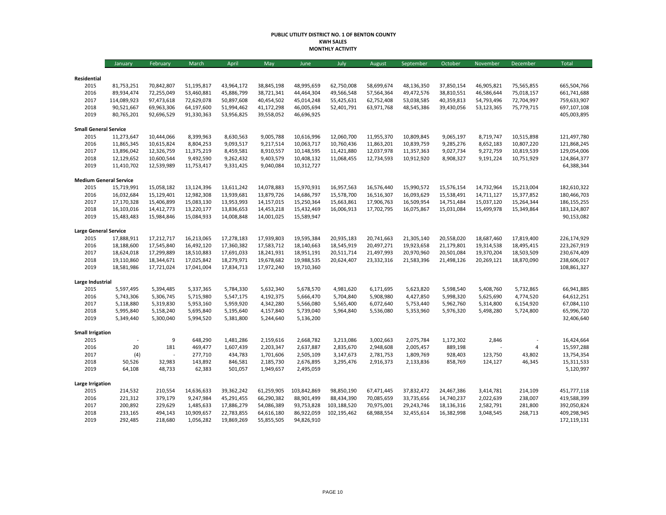#### **PUBLIC UTILITY DISTRICT NO. 1 OF BENTON COUNTY KWH SALES MONTHLY ACTIVITY**

|                               | January                  | February                 | March                    | April                    | May                      | June                     | July                     | August                   | September                | October                  | November                 | December                 | <b>Total</b>               |
|-------------------------------|--------------------------|--------------------------|--------------------------|--------------------------|--------------------------|--------------------------|--------------------------|--------------------------|--------------------------|--------------------------|--------------------------|--------------------------|----------------------------|
|                               |                          |                          |                          |                          |                          |                          |                          |                          |                          |                          |                          |                          |                            |
| Residential                   |                          |                          |                          |                          |                          |                          |                          |                          |                          |                          |                          |                          |                            |
| 2015<br>2016                  | 81,753,251<br>89,934,474 | 70,842,807<br>72,255,049 | 51,195,817<br>53,460,881 | 43,964,172<br>45,886,799 | 38,845,198<br>38,721,341 | 48,995,659<br>44,464,304 | 62,750,008<br>49,566,548 | 58,699,674<br>57,564,364 | 48,136,350<br>49,472,576 | 37,850,154<br>38,810,551 | 46,905,821<br>46,586,644 | 75,565,855<br>75,018,157 | 665,504,766<br>661,741,688 |
| 2017                          | 114,089,923              | 97,473,618               | 72,629,078               | 50,897,608               | 40,454,502               | 45,014,248               | 55,425,631               | 62,752,408               | 53,038,585               | 40,359,813               | 54,793,496               | 72,704,997               | 759,633,907                |
| 2018                          | 90,521,667               | 69,963,306               | 64,197,600               | 51,994,462               | 41,172,298               | 46,005,694               | 52,401,791               | 63,971,768               | 48,545,386               | 39,430,056               | 53,123,365               | 75,779,715               | 697,107,108                |
| 2019                          | 80,765,201               | 92,696,529               | 91,330,363               | 53,956,825               | 39,558,052               | 46,696,925               |                          |                          |                          |                          |                          |                          | 405,003,895                |
| <b>Small General Service</b>  |                          |                          |                          |                          |                          |                          |                          |                          |                          |                          |                          |                          |                            |
| 2015                          | 11,273,647               | 10,444,066               | 8,399,963                | 8,630,563                | 9,005,788                | 10,616,996               | 12,060,700               | 11,955,370               | 10,809,845               | 9,065,197                | 8,719,747                | 10,515,898               | 121,497,780                |
| 2016                          | 11,865,345               | 10,615,824               | 8,804,253                | 9,093,517                | 9,217,514                | 10,063,717               | 10,760,436               | 11,863,201               | 10,839,759               | 9,285,276                | 8,652,183                | 10,807,220               | 121,868,245                |
| 2017                          | 13,896,042               | 12,326,759               | 11,375,219               | 8,459,581                | 8,910,557                | 10,148,595               | 11,421,880               | 12,037,978               | 11,357,363               | 9,027,734                | 9,272,759                | 10,819,539               | 129,054,006                |
| 2018                          | 12,129,652               | 10,600,544               | 9,492,590                | 9,262,432                | 9,403,579                | 10,408,132               | 11,068,455               | 12,734,593               | 10,912,920               | 8,908,327                | 9,191,224                | 10,751,929               | 124,864,377                |
| 2019                          | 11,410,702               | 12,539,989               | 11,753,417               | 9,331,425                | 9,040,084                | 10,312,727               |                          |                          |                          |                          |                          |                          | 64,388,344                 |
| <b>Medium General Service</b> |                          |                          |                          |                          |                          |                          |                          |                          |                          |                          |                          |                          |                            |
| 2015                          | 15,719,991               | 15,058,182               | 13,124,396               | 13,611,242               | 14,078,883               | 15,970,931               | 16,957,563               | 16,576,440               | 15,990,572               | 15,576,154               | 14,732,964               | 15,213,004               | 182,610,322                |
| 2016                          | 16,032,684               | 15,129,401               | 12,982,308               | 13,939,681               | 13,879,726               | 14,686,797               | 15,578,700               | 16,516,307               | 16,093,629               | 15,538,491               | 14,711,127               | 15,377,852               | 180,466,703                |
| 2017                          | 17,170,328               | 15,406,899               | 15,083,130               | 13,953,993               | 14,157,015               | 15,250,364               | 15,663,861               | 17,906,763               | 16,509,954               | 14,751,484               | 15,037,120               | 15,264,344               | 186,155,255                |
| 2018                          | 16,103,016               | 14,412,773               | 13,220,177               | 13,836,653               | 14,453,218               | 15,432,469               | 16,006,913               | 17,702,795               | 16,075,867               | 15,031,084               | 15,499,978               | 15,349,864               | 183,124,807                |
| 2019                          | 15,483,483               | 15,984,846               | 15,084,933               | 14,008,848               | 14,001,025               | 15,589,947               |                          |                          |                          |                          |                          |                          | 90,153,082                 |
| <b>Large General Service</b>  |                          |                          |                          |                          |                          |                          |                          |                          |                          |                          |                          |                          |                            |
| 2015                          | 17,888,911               | 17,212,717               | 16,213,065               | 17,278,183               | 17,939,803               | 19,595,384               | 20,935,183               | 20,741,663               | 21,305,140               | 20,558,020               | 18,687,460               | 17,819,400               | 226,174,929                |
| 2016                          | 18,188,600               | 17,545,840               | 16,492,120               | 17,360,382               | 17,583,712               | 18,140,663               | 18,545,919               | 20,497,271               | 19,923,658               | 21,179,801               | 19,314,538               | 18,495,415               | 223,267,919                |
| 2017                          | 18,624,018               | 17,299,889               | 18,510,883               | 17,691,033               | 18,241,931               | 18,951,191               | 20,511,714               | 21,497,993               | 20,970,960               | 20,501,084               | 19,370,204               | 18,503,509               | 230,674,409                |
| 2018                          | 19,110,860               | 18,344,671               | 17,025,842               | 18,279,971               | 19,678,682               | 19,988,535               | 20,624,407               | 23,332,316               | 21,583,396               | 21,498,126               | 20,269,121               | 18,870,090               | 238,606,017                |
| 2019                          | 18,581,986               | 17,721,024               | 17,041,004               | 17,834,713               | 17,972,240               | 19,710,360               |                          |                          |                          |                          |                          |                          | 108,861,327                |
| Large Industrial              |                          |                          |                          |                          |                          |                          |                          |                          |                          |                          |                          |                          |                            |
| 2015                          | 5,597,495                | 5,394,485                | 5,337,365                | 5,784,330                | 5,632,340                | 5,678,570                | 4,981,620                | 6,171,695                | 5,623,820                | 5,598,540                | 5,408,760                | 5,732,865                | 66,941,885                 |
| 2016                          | 5,743,306                | 5,306,745                | 5,715,980                | 5,547,175                | 4,192,375                | 5,666,470                | 5,704,840                | 5,908,980                | 4,427,850                | 5,998,320                | 5,625,690                | 4,774,520                | 64,612,251                 |
| 2017                          | 5,118,880                | 5,319,830                | 5,953,160                | 5,959,920                | 4,342,280                | 5,566,080                | 5,565,400                | 6,072,640                | 5,753,440                | 5,962,760                | 5,314,800                | 6,154,920                | 67,084,110                 |
| 2018                          | 5,995,840                | 5,158,240                | 5,695,840                | 5,195,640                | 4,157,840                | 5,739,040                | 5,964,840                | 5,536,080                | 5,353,960                | 5,976,320                | 5,498,280                | 5,724,800                | 65,996,720                 |
| 2019                          | 5,349,440                | 5,300,040                | 5,994,520                | 5,381,800                | 5,244,640                | 5,136,200                |                          |                          |                          |                          |                          |                          | 32,406,640                 |
| <b>Small Irrigation</b>       |                          |                          |                          |                          |                          |                          |                          |                          |                          |                          |                          |                          |                            |
| 2015                          | $\overline{a}$           | 9                        | 648,290                  | 1,481,286                | 2,159,616                | 2,668,782                | 3,213,086                | 3,002,663                | 2,075,784                | 1,172,302                | 2,846                    |                          | 16,424,664                 |
| 2016                          | 20                       | 181                      | 469,477                  | 1,607,439                | 2,203,347                | 2,637,887                | 2,835,670                | 2,948,608                | 2,005,457                | 889,198                  |                          | $\overline{4}$           | 15,597,288                 |
| 2017                          | (4)                      |                          | 277,710                  | 434,783                  | 1,701,606                | 2,505,109                | 3,147,673                | 2,781,753                | 1,809,769                | 928,403                  | 123,750                  | 43,802                   | 13,754,354                 |
| 2018                          | 50,526                   | 32,983                   | 143,892                  | 846,581                  | 2,185,730                | 2,676,895                | 3,295,476                | 2,916,373                | 2,133,836                | 858,769                  | 124,127                  | 46,345                   | 15,311,533                 |
| 2019                          | 64,108                   | 48,733                   | 62,383                   | 501,057                  | 1,949,657                | 2,495,059                |                          |                          |                          |                          |                          |                          | 5,120,997                  |
| Large Irrigation              |                          |                          |                          |                          |                          |                          |                          |                          |                          |                          |                          |                          |                            |
| 2015                          | 214,532                  | 210,554                  | 14,636,633               | 39,362,242               | 61,259,905               | 103,842,869              | 98,850,190               | 67,471,445               | 37,832,472               | 24,467,386               | 3,414,781                | 214,109                  | 451,777,118                |
| 2016                          | 221,312                  | 379,179                  | 9,247,984                | 45,291,455               | 66,290,382               | 88,901,499               | 88,434,390               | 70,085,659               | 33,735,656               | 14,740,237               | 2,022,639                | 238,007                  | 419,588,399                |
| 2017                          | 200,892                  | 229,629                  | 1,485,633                | 17,886,279               | 54,086,389               | 93,753,828               | 103,188,520              | 70,975,001               | 29,243,746               | 18,136,316               | 2,582,791                | 281,800                  | 392,050,824                |
| 2018                          | 233,165                  | 494,143                  | 10,909,657               | 22,783,855               | 64,616,180               | 86,922,059               | 102,195,462              | 68,988,554               | 32,455,614               | 16,382,998               | 3,048,545                | 268,713                  | 409,298,945                |
| 2019                          | 292,485                  | 218,680                  | 1,056,282                | 19,869,269               | 55,855,505               | 94,826,910               |                          |                          |                          |                          |                          |                          | 172,119,131                |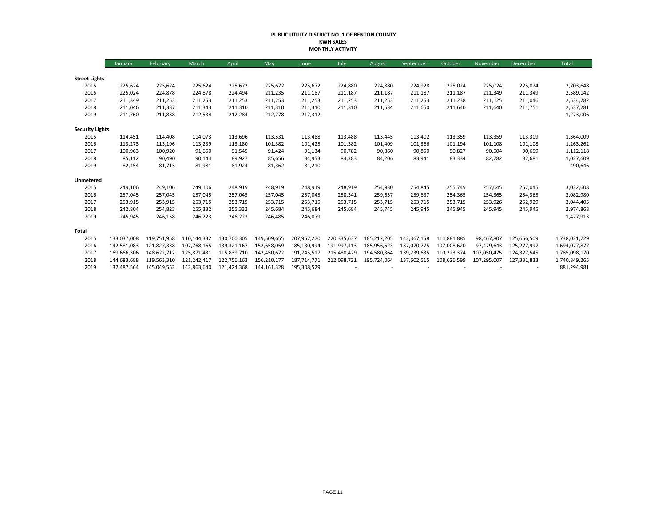#### **PUBLIC UTILITY DISTRICT NO. 1 OF BENTON COUNTY KWH SALES MONTHLY ACTIVITY**

|                        | January     | February    | March       | April       | May           | June        | July        | August      | September   | October     | November    | December    | Total         |
|------------------------|-------------|-------------|-------------|-------------|---------------|-------------|-------------|-------------|-------------|-------------|-------------|-------------|---------------|
|                        |             |             |             |             |               |             |             |             |             |             |             |             |               |
| <b>Street Lights</b>   |             |             |             |             |               |             |             |             |             |             |             |             |               |
| 2015                   | 225,624     | 225,624     | 225,624     | 225,672     | 225,672       | 225,672     | 224,880     | 224,880     | 224,928     | 225,024     | 225,024     | 225,024     | 2,703,648     |
| 2016                   | 225,024     | 224,878     | 224,878     | 224,494     | 211,235       | 211,187     | 211,187     | 211,187     | 211,187     | 211,187     | 211,349     | 211,349     | 2,589,142     |
| 2017                   | 211,349     | 211,253     | 211,253     | 211,253     | 211,253       | 211,253     | 211,253     | 211,253     | 211,253     | 211,238     | 211,125     | 211,046     | 2,534,782     |
| 2018                   | 211,046     | 211,337     | 211,343     | 211,310     | 211,310       | 211,310     | 211,310     | 211,634     | 211,650     | 211,640     | 211,640     | 211,751     | 2,537,281     |
| 2019                   | 211,760     | 211,838     | 212,534     | 212,284     | 212,278       | 212,312     |             |             |             |             |             |             | 1,273,006     |
| <b>Security Lights</b> |             |             |             |             |               |             |             |             |             |             |             |             |               |
| 2015                   | 114,451     | 114.408     | 114,073     | 113,696     | 113,531       | 113,488     | 113,488     | 113,445     | 113,402     | 113,359     | 113,359     | 113,309     | 1,364,009     |
| 2016                   | 113,273     | 113,196     | 113,239     | 113,180     | 101,382       | 101,425     | 101,382     | 101,409     | 101,366     | 101,194     | 101,108     | 101,108     | 1,263,262     |
| 2017                   | 100,963     | 100,920     | 91,650      | 91,545      | 91,424        | 91,134      | 90,782      | 90,860      | 90,850      | 90,827      | 90,504      | 90,659      | 1,112,118     |
| 2018                   | 85,112      | 90,490      | 90,144      | 89,927      | 85,656        | 84,953      | 84,383      | 84,206      | 83,941      | 83,334      | 82,782      | 82,681      | 1,027,609     |
| 2019                   | 82,454      | 81,715      | 81,981      | 81,924      | 81,362        | 81,210      |             |             |             |             |             |             | 490,646       |
| Unmetered              |             |             |             |             |               |             |             |             |             |             |             |             |               |
| 2015                   | 249,106     | 249,106     | 249,106     | 248,919     | 248,919       | 248,919     | 248,919     | 254,930     | 254,845     | 255,749     | 257,045     | 257,045     | 3,022,608     |
| 2016                   | 257,045     | 257,045     | 257,045     | 257,045     | 257,045       | 257,045     | 258,341     | 259,637     | 259,637     | 254,365     | 254,365     | 254,365     | 3,082,980     |
| 2017                   | 253,915     | 253,915     | 253,715     | 253,715     | 253,715       | 253,715     | 253,715     | 253,715     | 253,715     | 253,715     | 253,926     | 252,929     | 3,044,405     |
| 2018                   | 242,804     | 254,823     | 255,332     | 255,332     | 245,684       | 245,684     | 245,684     | 245,745     | 245,945     | 245,945     | 245,945     | 245,945     | 2,974,868     |
| 2019                   | 245,945     | 246,158     | 246,223     | 246,223     | 246,485       | 246,879     |             |             |             |             |             |             | 1,477,913     |
| <b>Total</b>           |             |             |             |             |               |             |             |             |             |             |             |             |               |
| 2015                   | 133,037,008 | 119,751,958 | 110,144,332 | 130,700,305 | 149,509,655   | 207,957,270 | 220,335,637 | 185,212,205 | 142,367,158 | 114,881,885 | 98,467,807  | 125,656,509 | 1,738,021,729 |
| 2016                   | 142,581,083 | 121,827,338 | 107,768,165 | 139,321,167 | 152,658,059   | 185.130.994 | 191.997.413 | 185,956,623 | 137.070.775 | 107,008,620 | 97.479.643  | 125,277,997 | 1,694,077,877 |
| 2017                   | 169,666,306 | 148,622,712 | 125,871,431 | 115,839,710 | 142,450,672   | 191,745,517 | 215,480,429 | 194,580,364 | 139,239,635 | 110,223,374 | 107,050,475 | 124,327,545 | 1,785,098,170 |
| 2018                   | 144,683,688 | 119,563,310 | 121,242,417 | 122,756,163 | 156,210,177   | 187,714,771 | 212,098,721 | 195,724,064 | 137,602,515 | 108,626,599 | 107,295,007 | 127,331,833 | 1,740,849,265 |
| 2019                   | 132,487,564 | 145,049,552 | 142,863,640 | 121,424,368 | 144, 161, 328 | 195,308,529 |             |             |             |             |             |             | 881,294,981   |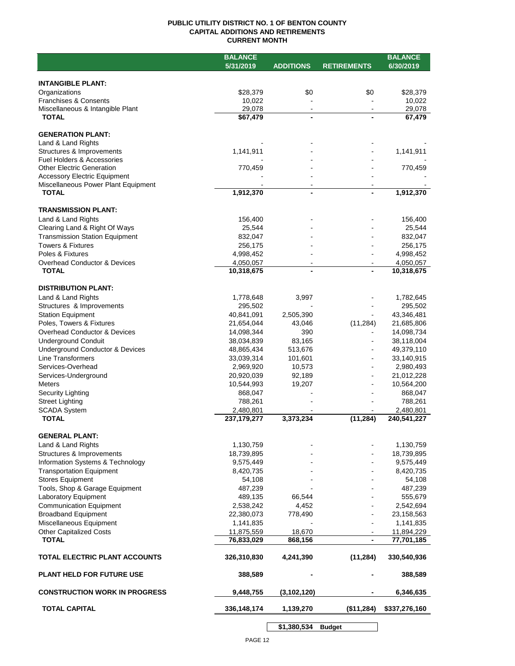## **PUBLIC UTILITY DISTRICT NO. 1 OF BENTON COUNTY CAPITAL ADDITIONS AND RETIREMENTS CURRENT MONTH**

|                                                           | <b>BALANCE</b>           |                          |                          | <b>BALANCE</b>           |
|-----------------------------------------------------------|--------------------------|--------------------------|--------------------------|--------------------------|
|                                                           | 5/31/2019                | <b>ADDITIONS</b>         | <b>RETIREMENTS</b>       | 6/30/2019                |
|                                                           |                          |                          |                          |                          |
| <b>INTANGIBLE PLANT:</b>                                  |                          |                          |                          |                          |
| Organizations                                             | \$28,379                 | \$0                      | \$0                      | \$28,379                 |
| Franchises & Consents<br>Miscellaneous & Intangible Plant | 10,022<br>29,078         | $\blacksquare$           | $\overline{\phantom{a}}$ | 10,022<br>29,078         |
| <b>TOTAL</b>                                              | \$67,479                 | ä,                       |                          | 67,479                   |
|                                                           |                          |                          |                          |                          |
| <b>GENERATION PLANT:</b>                                  |                          |                          |                          |                          |
| Land & Land Rights                                        |                          |                          |                          |                          |
| Structures & Improvements                                 | 1,141,911                |                          |                          | 1,141,911                |
| <b>Fuel Holders &amp; Accessories</b>                     |                          |                          |                          |                          |
| <b>Other Electric Generation</b>                          | 770,459                  |                          |                          | 770,459                  |
| <b>Accessory Electric Equipment</b>                       |                          |                          |                          |                          |
| Miscellaneous Power Plant Equipment<br><b>TOTAL</b>       | 1,912,370                | $\overline{\phantom{0}}$ |                          | 1,912,370                |
|                                                           |                          |                          |                          |                          |
| <b>TRANSMISSION PLANT:</b>                                |                          |                          |                          |                          |
| Land & Land Rights                                        | 156,400                  |                          |                          | 156,400                  |
| Clearing Land & Right Of Ways                             | 25,544                   |                          |                          | 25,544                   |
| <b>Transmission Station Equipment</b>                     | 832,047                  |                          |                          | 832,047                  |
| <b>Towers &amp; Fixtures</b>                              | 256,175                  |                          |                          | 256,175                  |
| Poles & Fixtures                                          | 4,998,452                |                          |                          | 4,998,452                |
| Overhead Conductor & Devices                              | 4,050,057                |                          |                          | 4,050,057                |
| <b>TOTAL</b>                                              | 10,318,675               |                          |                          | 10,318,675               |
|                                                           |                          |                          |                          |                          |
| <b>DISTRIBUTION PLANT:</b>                                |                          |                          |                          |                          |
| Land & Land Rights                                        | 1,778,648                | 3,997                    |                          | 1,782,645                |
| Structures & Improvements                                 | 295,502                  |                          |                          | 295,502                  |
| <b>Station Equipment</b>                                  | 40,841,091               | 2,505,390                |                          | 43,346,481               |
| Poles, Towers & Fixtures                                  | 21,654,044               | 43,046                   | (11, 284)                | 21,685,806               |
| Overhead Conductor & Devices                              | 14,098,344               | 390                      |                          | 14,098,734               |
| <b>Underground Conduit</b>                                | 38,034,839               | 83,165                   |                          | 38,118,004               |
| <b>Underground Conductor &amp; Devices</b>                | 48,865,434               | 513,676                  |                          | 49,379,110               |
| <b>Line Transformers</b>                                  | 33,039,314               | 101,601                  |                          | 33,140,915               |
| Services-Overhead                                         | 2,969,920<br>20,920,039  | 10,573<br>92,189         |                          | 2,980,493<br>21,012,228  |
| Services-Underground<br><b>Meters</b>                     | 10,544,993               | 19,207                   |                          | 10,564,200               |
| Security Lighting                                         | 868,047                  |                          |                          | 868,047                  |
| <b>Street Lighting</b>                                    | 788,261                  |                          |                          | 788,261                  |
| <b>SCADA System</b>                                       | 2,480,801                |                          |                          | 2,480,801                |
| <b>TOTAL</b>                                              | 237, 179, 277            | 3,373,234                | (11, 284)                | 240,541,227              |
|                                                           |                          |                          |                          |                          |
| <b>GENERAL PLANT:</b>                                     |                          |                          |                          |                          |
| Land & Land Rights                                        | 1,130,759                |                          |                          | 1,130,759                |
| Structures & Improvements                                 | 18,739,895               |                          |                          | 18,739,895               |
| Information Systems & Technology                          | 9,575,449                |                          |                          | 9,575,449                |
| <b>Transportation Equipment</b>                           | 8,420,735                |                          |                          | 8,420,735                |
| <b>Stores Equipment</b>                                   | 54,108                   |                          |                          | 54,108                   |
| Tools, Shop & Garage Equipment                            | 487,239                  |                          |                          | 487,239                  |
| Laboratory Equipment                                      | 489,135                  | 66,544                   |                          | 555,679                  |
| <b>Communication Equipment</b>                            | 2,538,242                | 4,452                    |                          | 2,542,694                |
| <b>Broadband Equipment</b>                                | 22,380,073               | 778,490                  |                          | 23,158,563               |
| Miscellaneous Equipment                                   | 1,141,835                |                          |                          | 1,141,835                |
| <b>Other Capitalized Costs</b><br><b>TOTAL</b>            | 11,875,559<br>76,833,029 | 18,670<br>868,156        |                          | 11,894,229<br>77,701,185 |
|                                                           |                          |                          |                          |                          |
| TOTAL ELECTRIC PLANT ACCOUNTS                             | 326,310,830              | 4,241,390                | (11, 284)                | 330,540,936              |
| <b>PLANT HELD FOR FUTURE USE</b>                          | 388,589                  |                          |                          | 388,589                  |
| <b>CONSTRUCTION WORK IN PROGRESS</b>                      | 9,448,755                | (3, 102, 120)            |                          | 6,346,635                |
| <b>TOTAL CAPITAL</b>                                      | 336,148,174              | 1,139,270                | (\$11,284)               | \$337,276,160            |
|                                                           |                          |                          |                          |                          |

**\$1,380,534 Budget**

 $\sim$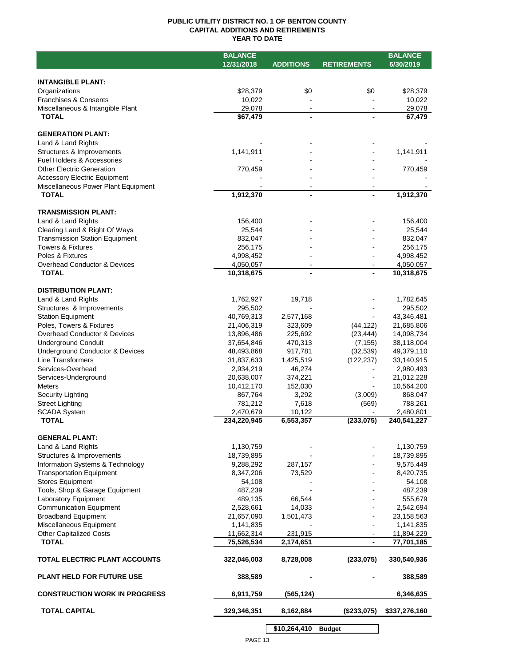## **PUBLIC UTILITY DISTRICT NO. 1 OF BENTON COUNTY CAPITAL ADDITIONS AND RETIREMENTS YEAR TO DATE**

|                                       | <b>BALANCE</b> |                  |                    | <b>BALANCE</b> |
|---------------------------------------|----------------|------------------|--------------------|----------------|
|                                       | 12/31/2018     | <b>ADDITIONS</b> | <b>RETIREMENTS</b> | 6/30/2019      |
|                                       |                |                  |                    |                |
| <b>INTANGIBLE PLANT:</b>              |                |                  |                    |                |
| Organizations                         | \$28,379       | \$0              | \$0                | \$28,379       |
| <b>Franchises &amp; Consents</b>      | 10,022         |                  |                    | 10,022         |
| Miscellaneous & Intangible Plant      | 29,078         | $\blacksquare$   |                    | 29,078         |
| <b>TOTAL</b>                          | \$67,479       | $\overline{a}$   |                    | 67,479         |
|                                       |                |                  |                    |                |
| <b>GENERATION PLANT:</b>              |                |                  |                    |                |
| Land & Land Rights                    |                |                  |                    |                |
| Structures & Improvements             | 1,141,911      |                  |                    | 1,141,911      |
| Fuel Holders & Accessories            |                |                  |                    |                |
| <b>Other Electric Generation</b>      | 770,459        |                  |                    | 770,459        |
| <b>Accessory Electric Equipment</b>   |                |                  |                    |                |
| Miscellaneous Power Plant Equipment   |                |                  |                    |                |
| <b>TOTAL</b>                          | 1,912,370      |                  |                    | 1,912,370      |
|                                       |                |                  |                    |                |
| <b>TRANSMISSION PLANT:</b>            |                |                  |                    |                |
| Land & Land Rights                    | 156,400        |                  |                    | 156,400        |
| Clearing Land & Right Of Ways         | 25,544         |                  |                    | 25,544         |
| <b>Transmission Station Equipment</b> | 832,047        |                  |                    | 832,047        |
| <b>Towers &amp; Fixtures</b>          | 256,175        |                  |                    | 256,175        |
| Poles & Fixtures                      | 4,998,452      |                  |                    | 4,998,452      |
| Overhead Conductor & Devices          | 4,050,057      |                  |                    | 4,050,057      |
| <b>TOTAL</b>                          | 10,318,675     | $\overline{a}$   |                    | 10,318,675     |
|                                       |                |                  |                    |                |
| <b>DISTRIBUTION PLANT:</b>            |                |                  |                    |                |
| Land & Land Rights                    | 1,762,927      | 19,718           |                    | 1,782,645      |
| Structures & Improvements             | 295,502        |                  |                    | 295,502        |
| <b>Station Equipment</b>              | 40,769,313     | 2,577,168        |                    | 43,346,481     |
| Poles, Towers & Fixtures              | 21,406,319     | 323,609          | (44, 122)          | 21,685,806     |
| Overhead Conductor & Devices          |                |                  |                    | 14,098,734     |
|                                       | 13,896,486     | 225,692          | (23, 444)          |                |
| <b>Underground Conduit</b>            | 37,654,846     | 470,313          | (7, 155)           | 38,118,004     |
| Underground Conductor & Devices       | 48,493,868     | 917,781          | (32, 539)          | 49,379,110     |
| Line Transformers                     | 31,837,633     | 1,425,519        | (122, 237)         | 33,140,915     |
| Services-Overhead                     | 2,934,219      | 46,274           |                    | 2,980,493      |
| Services-Underground                  | 20,638,007     | 374,221          |                    | 21,012,228     |
| <b>Meters</b>                         | 10,412,170     | 152,030          |                    | 10,564,200     |
| <b>Security Lighting</b>              | 867,764        | 3,292            | (3,009)            | 868,047        |
| <b>Street Lighting</b>                | 781,212        | 7,618            | (569)              | 788,261        |
| <b>SCADA System</b><br><b>TOTAL</b>   | 2,470,679      | 10,122           | (233, 075)         | 2,480,801      |
|                                       | 234,220,945    | 6,553,357        |                    | 240,541,227    |
|                                       |                |                  |                    |                |
| <b>GENERAL PLANT:</b>                 |                |                  |                    |                |
| Land & Land Rights                    | 1,130,759      |                  |                    | 1,130,759      |
| Structures & Improvements             | 18,739,895     |                  |                    | 18,739,895     |
| Information Systems & Technology      | 9,288,292      | 287,157          |                    | 9,575,449      |
| <b>Transportation Equipment</b>       | 8,347,206      | 73,529           |                    | 8,420,735      |
| <b>Stores Equipment</b>               | 54,108         |                  |                    | 54,108         |
| Tools, Shop & Garage Equipment        | 487,239        |                  |                    | 487,239        |
| <b>Laboratory Equipment</b>           | 489,135        | 66,544           |                    | 555,679        |
| <b>Communication Equipment</b>        | 2,528,661      | 14,033           |                    | 2,542,694      |
| <b>Broadband Equipment</b>            | 21,657,090     | 1,501,473        |                    | 23,158,563     |
| Miscellaneous Equipment               | 1,141,835      |                  |                    | 1,141,835      |
| <b>Other Capitalized Costs</b>        | 11,662,314     | 231,915          |                    | 11,894,229     |
| <b>TOTAL</b>                          | 75,526,534     | 2,174,651        | $\blacksquare$     | 77,701,185     |
|                                       |                |                  |                    |                |
| TOTAL ELECTRIC PLANT ACCOUNTS         | 322,046,003    | 8,728,008        | (233, 075)         | 330,540,936    |
|                                       |                |                  |                    |                |
| <b>PLANT HELD FOR FUTURE USE</b>      | 388,589        |                  |                    | 388,589        |
|                                       |                |                  |                    |                |
| <b>CONSTRUCTION WORK IN PROGRESS</b>  | 6,911,759      | (565, 124)       |                    | 6,346,635      |
|                                       |                |                  |                    |                |
| <b>TOTAL CAPITAL</b>                  | 329,346,351    | 8,162,884        | (\$233,075)        | \$337,276,160  |
|                                       |                |                  |                    |                |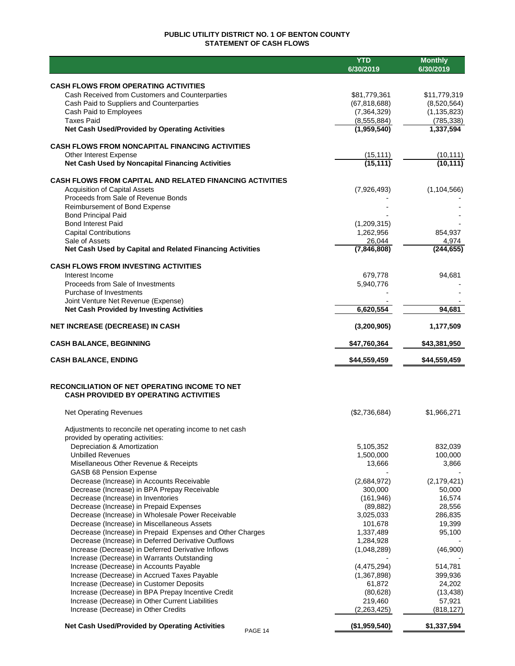## **PUBLIC UTILITY DISTRICT NO. 1 OF BENTON COUNTY STATEMENT OF CASH FLOWS**

|                                                                                              | <b>YTD</b><br>6/30/2019        | <b>Monthly</b><br>6/30/2019 |
|----------------------------------------------------------------------------------------------|--------------------------------|-----------------------------|
|                                                                                              |                                |                             |
| <b>CASH FLOWS FROM OPERATING ACTIVITIES</b>                                                  |                                |                             |
| Cash Received from Customers and Counterparties<br>Cash Paid to Suppliers and Counterparties | \$81,779,361<br>(67, 818, 688) | \$11,779,319<br>(8,520,564) |
| Cash Paid to Employees                                                                       | (7, 364, 329)                  | (1, 135, 823)               |
| <b>Taxes Paid</b>                                                                            | (8, 555, 884)                  | (785, 338)                  |
| Net Cash Used/Provided by Operating Activities                                               | (1,959,540)                    | 1,337,594                   |
| <b>CASH FLOWS FROM NONCAPITAL FINANCING ACTIVITIES</b>                                       |                                |                             |
| Other Interest Expense                                                                       | (15, 111)                      | (10, 111)                   |
| <b>Net Cash Used by Noncapital Financing Activities</b>                                      | (15, 111)                      | (10, 111)                   |
| <b>CASH FLOWS FROM CAPITAL AND RELATED FINANCING ACTIVITIES</b>                              |                                |                             |
| <b>Acquisition of Capital Assets</b>                                                         | (7,926,493)                    | (1, 104, 566)               |
| Proceeds from Sale of Revenue Bonds                                                          |                                |                             |
| Reimbursement of Bond Expense<br><b>Bond Principal Paid</b>                                  |                                |                             |
| <b>Bond Interest Paid</b>                                                                    | (1,209,315)                    |                             |
| <b>Capital Contributions</b>                                                                 | 1,262,956                      | 854,937                     |
| Sale of Assets                                                                               | 26,044                         | 4,974                       |
| Net Cash Used by Capital and Related Financing Activities                                    | (7,846,808)                    | (244, 655)                  |
| <b>CASH FLOWS FROM INVESTING ACTIVITIES</b>                                                  |                                |                             |
| Interest Income                                                                              | 679,778                        | 94,681                      |
| Proceeds from Sale of Investments<br>Purchase of Investments                                 | 5,940,776                      |                             |
| Joint Venture Net Revenue (Expense)                                                          |                                |                             |
| <b>Net Cash Provided by Investing Activities</b>                                             | 6,620,554                      | 94,681                      |
| <b>NET INCREASE (DECREASE) IN CASH</b>                                                       | (3, 200, 905)                  | 1,177,509                   |
| <b>CASH BALANCE, BEGINNING</b>                                                               | \$47,760,364                   | \$43,381,950                |
| <b>CASH BALANCE, ENDING</b>                                                                  | \$44,559,459                   | \$44,559,459                |
| <b>RECONCILIATION OF NET OPERATING INCOME TO NET</b>                                         |                                |                             |
| <b>CASH PROVIDED BY OPERATING ACTIVITIES</b>                                                 |                                |                             |
| <b>Net Operating Revenues</b>                                                                | (\$2,736,684)                  | \$1,966,271                 |
| Adjustments to reconcile net operating income to net cash                                    |                                |                             |
| provided by operating activities:                                                            |                                |                             |
| Depreciation & Amortization<br><b>Unbilled Revenues</b>                                      | 5,105,352<br>1,500,000         | 832,039<br>100,000          |
| Misellaneous Other Revenue & Receipts                                                        | 13,666                         | 3,866                       |
| <b>GASB 68 Pension Expense</b>                                                               |                                |                             |
| Decrease (Increase) in Accounts Receivable                                                   | (2,684,972)                    | (2, 179, 421)               |
| Decrease (Increase) in BPA Prepay Receivable                                                 | 300,000                        | 50,000                      |
| Decrease (Increase) in Inventories                                                           | (161, 946)<br>(89, 882)        | 16,574<br>28,556            |
| Decrease (Increase) in Prepaid Expenses<br>Decrease (Increase) in Wholesale Power Receivable | 3,025,033                      | 286,835                     |
| Decrease (Increase) in Miscellaneous Assets                                                  | 101,678                        | 19,399                      |
| Decrease (Increase) in Prepaid Expenses and Other Charges                                    | 1,337,489                      | 95,100                      |
| Decrease (Increase) in Deferred Derivative Outflows                                          | 1,284,928                      |                             |
| Increase (Decrease) in Deferred Derivative Inflows                                           | (1,048,289)                    | (46,900)                    |
| Increase (Decrease) in Warrants Outstanding                                                  |                                |                             |
| Increase (Decrease) in Accounts Payable<br>Increase (Decrease) in Accrued Taxes Payable      | (4,475,294)<br>(1,367,898)     | 514,781<br>399,936          |
| Increase (Decrease) in Customer Deposits                                                     | 61,872                         | 24,202                      |
| Increase (Decrease) in BPA Prepay Incentive Credit                                           | (80, 628)                      | (13, 438)                   |
| Increase (Decrease) in Other Current Liabilities                                             | 219,460                        | 57,921                      |
| Increase (Decrease) in Other Credits                                                         | (2,263,425)                    | (818, 127)                  |
| Net Cash Used/Provided by Operating Activities<br>PAGE 14                                    | (\$1,959,540)                  | \$1,337,594                 |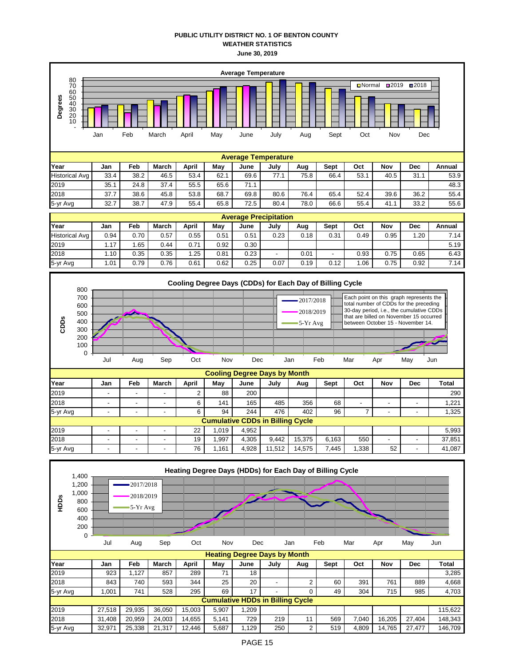## **PUBLIC UTILITY DISTRICT NO. 1 OF BENTON COUNTY WEATHER STATISTICS June 30, 2019**

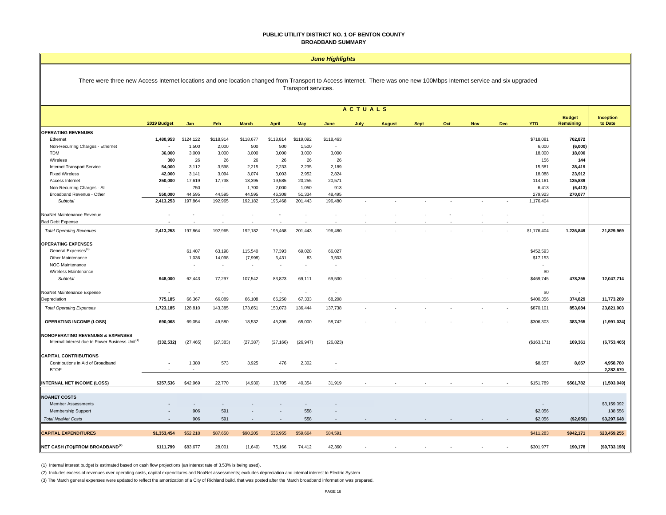#### **PUBLIC UTILITY DISTRICT NO. 1 OF BENTON COUNTY BROADBAND SUMMARY**

#### *June Highlights*

#### There were three new Access Internet locations and one location changed from Transport to Access Internet. There was one new 100Mbps Internet service and six upgraded Transport services.

|                                                             | <b>ACTUALS</b> |                          |            |              |                          |            |            |      |               |             |     |            |            |              |                            |                      |
|-------------------------------------------------------------|----------------|--------------------------|------------|--------------|--------------------------|------------|------------|------|---------------|-------------|-----|------------|------------|--------------|----------------------------|----------------------|
|                                                             | 2019 Budget    | Jan                      | Feb        | <b>March</b> | <b>April</b>             | <b>May</b> | June       | July | <b>August</b> | <b>Sept</b> | Oct | <b>Nov</b> | <b>Dec</b> | <b>YTD</b>   | <b>Budget</b><br>Remaining | Inception<br>to Date |
| <b>OPERATING REVENUES</b>                                   |                |                          |            |              |                          |            |            |      |               |             |     |            |            |              |                            |                      |
| Ethernet                                                    | 1,480,953      | \$124,122                | \$118,914  | \$118,677    | \$118,814                | \$119,092  | \$118,463  |      |               |             |     |            |            | \$718,081    | 762,872                    |                      |
| Non-Recurring Charges - Ethernet                            |                | 1,500                    | 2,000      | 500          | 500                      | 1,500      | $\sim$     |      |               |             |     |            |            | 6,000        | (6,000)                    |                      |
| <b>TDM</b>                                                  | 36,000         | 3,000                    | 3,000      | 3,000        | 3,000                    | 3,000      | 3,000      |      |               |             |     |            |            | 18,000       | 18,000                     |                      |
| Wireless                                                    | 300            | 26                       | 26         | 26           | 26                       | 26         | 26         |      |               |             |     |            |            | 156          | 144                        |                      |
| Internet Transport Service                                  | 54,000         | 3,112                    | 3,598      | 2,215        | 2,233                    | 2,235      | 2,189      |      |               |             |     |            |            | 15,581       | 38,419                     |                      |
| <b>Fixed Wireless</b>                                       | 42,000         | 3,141                    | 3,094      | 3,074        | 3,003                    | 2,952      | 2,824      |      |               |             |     |            |            | 18,088       | 23,912                     |                      |
| Access Internet                                             | 250,000        | 17,619                   | 17,738     | 18,395       | 19,585                   | 20,255     | 20,571     |      |               |             |     |            |            | 114,161      | 135,839                    |                      |
| Non-Recurring Charges - Al                                  | $\sim$         | 750                      | $\sim$     | 1,700        | 2,000                    | 1,050      | 913        |      |               |             |     |            |            | 6,413        | (6, 413)                   |                      |
| Broadband Revenue - Other                                   | 550,000        | 44,595                   | 44.595     | 44,595       | 46,308                   | 51,334     | 48,495     |      |               |             |     |            |            | 279,923      | 270,077                    |                      |
| Subtotal                                                    | 2,413,253      | 197,864                  | 192,965    | 192,182      | 195,468                  | 201,443    | 196,480    |      |               |             |     |            |            | 1,176,404    |                            |                      |
| NoaNet Maintenance Revenue                                  |                |                          |            |              |                          |            |            |      |               |             |     |            |            |              |                            |                      |
| <b>Bad Debt Expense</b>                                     |                |                          |            |              |                          |            |            |      |               |             |     |            |            |              |                            |                      |
| <b>Total Operating Revenues</b>                             | 2,413,253      | 197,864                  | 192,965    | 192,182      | 195,468                  | 201,443    | 196,480    |      |               |             |     |            |            | \$1,176,404  | 1,236,849                  | 21,829,969           |
| <b>OPERATING EXPENSES</b>                                   |                |                          |            |              |                          |            |            |      |               |             |     |            |            |              |                            |                      |
| General Expenses <sup>(3)</sup>                             |                | 61,407                   | 63,198     | 115,540      | 77,393                   | 69,028     | 66,027     |      |               |             |     |            |            | \$452,593    |                            |                      |
| Other Maintenance                                           |                | 1,036                    | 14,098     | (7,998)      | 6,431                    | 83         | 3,503      |      |               |             |     |            |            | \$17,153     |                            |                      |
| NOC Maintenance                                             |                | $\overline{\phantom{a}}$ | $\sim$     | $\sim$       | $\overline{\phantom{a}}$ | ٠          | $\sim$     |      |               |             |     |            |            |              |                            |                      |
| Wireless Maintenance                                        |                | $\sim$                   | - 11       | <b>1999</b>  | $\overline{\phantom{a}}$ | $\sim$     | . .        |      |               |             |     |            |            | \$0          |                            |                      |
| Subtotal                                                    | 948,000        | 62,443                   | 77,297     | 107,542      | 83,823                   | 69,111     | 69,530     |      |               |             |     |            |            | \$469,745    | 478,255                    | 12,047,714           |
| NoaNet Maintenance Expense                                  |                | $\sim$                   | $\epsilon$ | ÷.           | $\overline{\phantom{a}}$ | $\sim$     | $\epsilon$ |      |               |             |     |            |            | \$0          | $\blacksquare$             |                      |
| Depreciation                                                | 775,185        | 66,367                   | 66,089     | 66,108       | 66,250                   | 67,333     | 68,208     |      |               |             |     |            |            | \$400,356    | 374,829                    | 11,773,289           |
| <b>Total Operating Expenses</b>                             | 1,723,185      | 128,810                  | 143,385    | 173,651      | 150,073                  | 136,444    | 137,738    |      |               |             |     |            |            | \$870,101    | 853,084                    | 23,821,003           |
| <b>OPERATING INCOME (LOSS)</b>                              | 690,068        | 69,054                   | 49,580     | 18,532       | 45,395                   | 65,000     | 58,742     |      |               |             |     |            |            | \$306,303    | 383,765                    | (1,991,034)          |
| <b>NONOPERATING REVENUES &amp; EXPENSES</b>                 |                |                          |            |              |                          |            |            |      |               |             |     |            |            |              |                            |                      |
| Internal Interest due to Power Business Unit <sup>(1)</sup> | (332, 532)     | (27, 465)                | (27, 383)  | (27, 387)    | (27, 166)                | (26, 947)  | (26, 823)  |      |               |             |     |            |            | (\$163, 171) | 169,361                    | (6,753,465)          |
| <b>CAPITAL CONTRIBUTIONS</b>                                |                |                          |            |              |                          |            |            |      |               |             |     |            |            |              |                            |                      |
| Contributions in Aid of Broadband                           |                | 1,380                    | 573        | 3,925        | 476                      | 2,302      |            |      |               |             |     |            |            | \$8,657      | 8,657                      | 4,958,780            |
| <b>BTOP</b>                                                 |                |                          |            |              | $\sim$                   |            |            |      |               |             |     |            |            |              | $\blacksquare$             | 2,282,670            |
| INTERNAL NET INCOME (LOSS)                                  | \$357,536      | \$42,969                 | 22,770     | (4,930)      | 18,705                   | 40,354     | 31,919     |      |               |             |     |            |            | \$151,789    | \$561,782                  | (1,503,049)          |
| <b>NOANET COSTS</b>                                         |                |                          |            |              |                          |            |            |      |               |             |     |            |            |              |                            |                      |
| <b>Member Assessments</b>                                   |                |                          |            |              |                          |            |            |      |               |             |     |            |            | $\sim$       |                            | \$3,159,092          |
| Membership Support                                          |                | 906                      | 591        |              |                          | 558        |            |      |               |             |     |            |            | \$2,056      |                            | 138,556              |
| <b>Total NoaNet Costs</b>                                   |                | 906                      | 591        | $\sim$       | $\overline{\phantom{a}}$ | 558        | $\sim$     |      |               |             |     |            |            | \$2,056      | (\$2,056)                  | \$3,297,648          |
| <b>CAPITAL EXPENDITURES</b>                                 | \$1,353,454    | \$52,218                 | \$87,650   | \$90,205     | \$36,955                 | \$59,664   | \$84,591   |      |               |             |     |            |            | \$411,283    | \$942,171                  | \$23,459,255         |
|                                                             |                |                          |            |              |                          |            |            |      |               |             |     |            |            |              |                            |                      |
| NET CASH (TO)/FROM BROADBAND <sup>(2)</sup>                 | \$111,799      | \$83,677                 | 28,001     | (1,640)      | 75,166                   | 74,412     | 42,360     |      |               |             |     |            |            | \$301,977    | 190,178                    | ( \$9,733,198)       |

(1) Internal interest budget is estimated based on cash flow projections (an interest rate of 3.53% is being used).

(2) Includes excess of revenues over operating costs, capital expenditures and NoaNet assessments; excludes depreciation and internal interest to Electric System

(3) The March general expenses were updated to reflect the amortization of a City of Richland build, that was posted after the March broadband information was prepared.